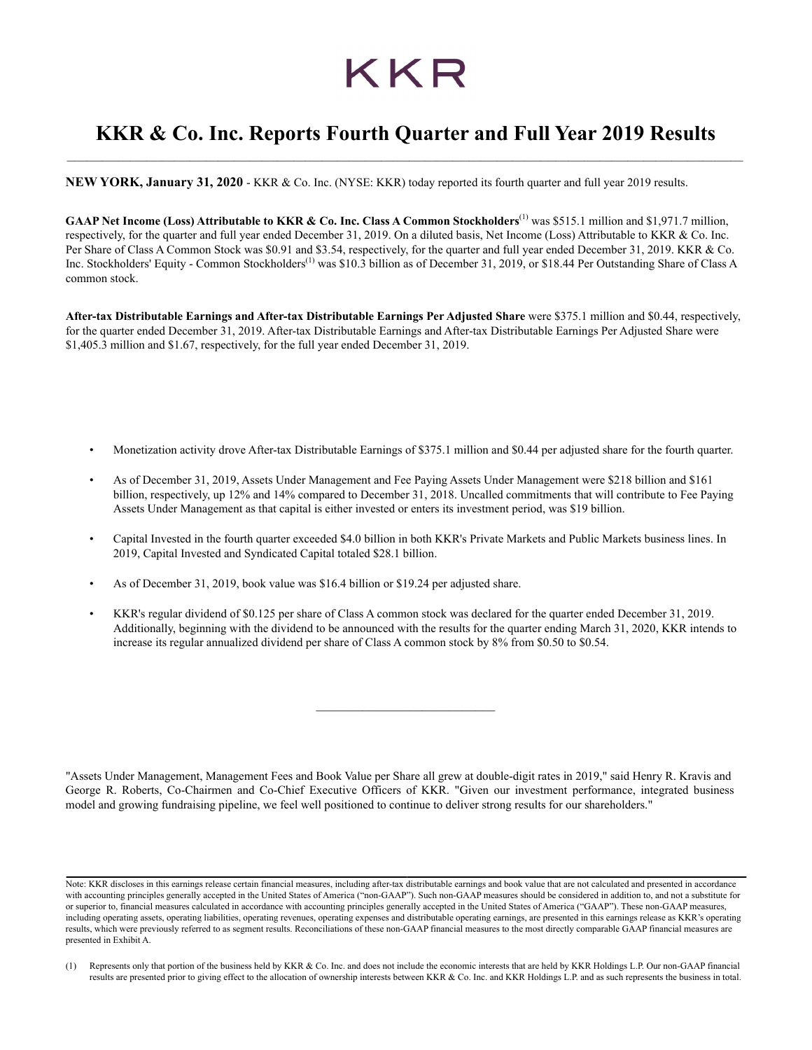# KKR

# **KKR & Co. Inc. Reports Fourth Quarter and Full Year 2019 Results** *\_\_\_\_\_\_\_\_\_\_\_\_\_\_\_\_\_\_\_\_\_\_\_\_\_\_\_\_\_\_\_\_\_\_\_\_\_\_\_\_\_\_\_\_\_\_\_\_\_\_\_\_\_\_\_\_\_\_\_\_\_\_\_\_\_\_\_\_\_\_\_\_\_\_\_\_\_\_\_\_\_\_\_\_\_\_\_\_\_\_\_\_\_\_\_\_\_\_\_\_\_\_\_\_\_\_\_\_\_\_\_\_\_\_\_\_\_\_\_\_\_\_\_\_\_\_\_\_\_\_\_\_\_\_\_\_\_\_\_\_\_\_\_\_\_\_\_\_\_\_\_\_\_\_\_\_\_\_\_\_\_\_\_\_\_\_\_\_\_\_*

**NEW YORK, January 31, 2020** - KKR & Co. Inc. (NYSE: KKR) today reported its fourth quarter and full year 2019 results.

GAAP Net Income (Loss) Attributable to KKR & Co. Inc. Class A Common Stockholders<sup>(1)</sup> was \$515.1 million and \$1,971.7 million, respectively, for the quarter and full year ended December 31, 2019. On a diluted basis, Net Income (Loss) Attributable to KKR & Co. Inc. Per Share of Class A Common Stock was \$0.91 and \$3.54, respectively, for the quarter and full year ended December 31, 2019. KKR & Co. Inc. Stockholders' Equity - Common Stockholders<sup>(1)</sup> was \$10.3 billion as of December 31, 2019, or \$18.44 Per Outstanding Share of Class A common stock.

**After-tax Distributable Earnings and After-tax Distributable Earnings Per Adjusted Share** were \$375.1 million and \$0.44, respectively, for the quarter ended December 31, 2019. After-tax Distributable Earnings and After-tax Distributable Earnings Per Adjusted Share were \$1,405.3 million and \$1.67, respectively, for the full year ended December 31, 2019.

- Monetization activity drove After-tax Distributable Earnings of \$375.1 million and \$0.44 per adjusted share for the fourth quarter.
- As of December 31, 2019, Assets Under Management and Fee Paying Assets Under Management were \$218 billion and \$161 billion, respectively, up 12% and 14% compared to December 31, 2018. Uncalled commitments that will contribute to Fee Paying Assets Under Management as that capital is either invested or enters its investment period, was \$19 billion.
- Capital Invested in the fourth quarter exceeded \$4.0 billion in both KKR's Private Markets and Public Markets business lines. In 2019, Capital Invested and Syndicated Capital totaled \$28.1 billion.
- As of December 31, 2019, book value was \$16.4 billion or \$19.24 per adjusted share.
- KKR's regular dividend of \$0.125 per share of Class A common stock was declared for the quarter ended December 31, 2019. Additionally, beginning with the dividend to be announced with the results for the quarter ending March 31, 2020, KKR intends to increase its regular annualized dividend per share of Class A common stock by 8% from \$0.50 to \$0.54.

"Assets Under Management, Management Fees and Book Value per Share all grew at double-digit rates in 2019," said Henry R. Kravis and George R. Roberts, Co-Chairmen and Co-Chief Executive Officers of KKR. "Given our investment performance, integrated business model and growing fundraising pipeline, we feel well positioned to continue to deliver strong results for our shareholders."

Note: KKR discloses in this earnings release certain financial measures, including after-tax distributable earnings and book value that are not calculated and presented in accordance with accounting principles generally accepted in the United States of America ("non-GAAP"). Such non-GAAP measures should be considered in addition to, and not a substitute for or superior to, financial measures calculated in accordance with accounting principles generally accepted in the United States of America ("GAAP"). These non-GAAP measures, including operating assets, operating liabilities, operating revenues, operating expenses and distributable operating earnings, are presented in this earnings release as KKR's operating results, which were previously referred to as segment results. Reconciliations of these non-GAAP financial measures to the most directly comparable GAAP financial measures are presented in Exhibit A.

<sup>(1)</sup> Represents only that portion of the business held by KKR & Co. Inc. and does not include the economic interests that are held by KKR Holdings L.P. Our non-GAAP financial results are presented prior to giving effect to the allocation of ownership interests between KKR & Co. Inc. and KKR Holdings L.P. and as such represents the business in total.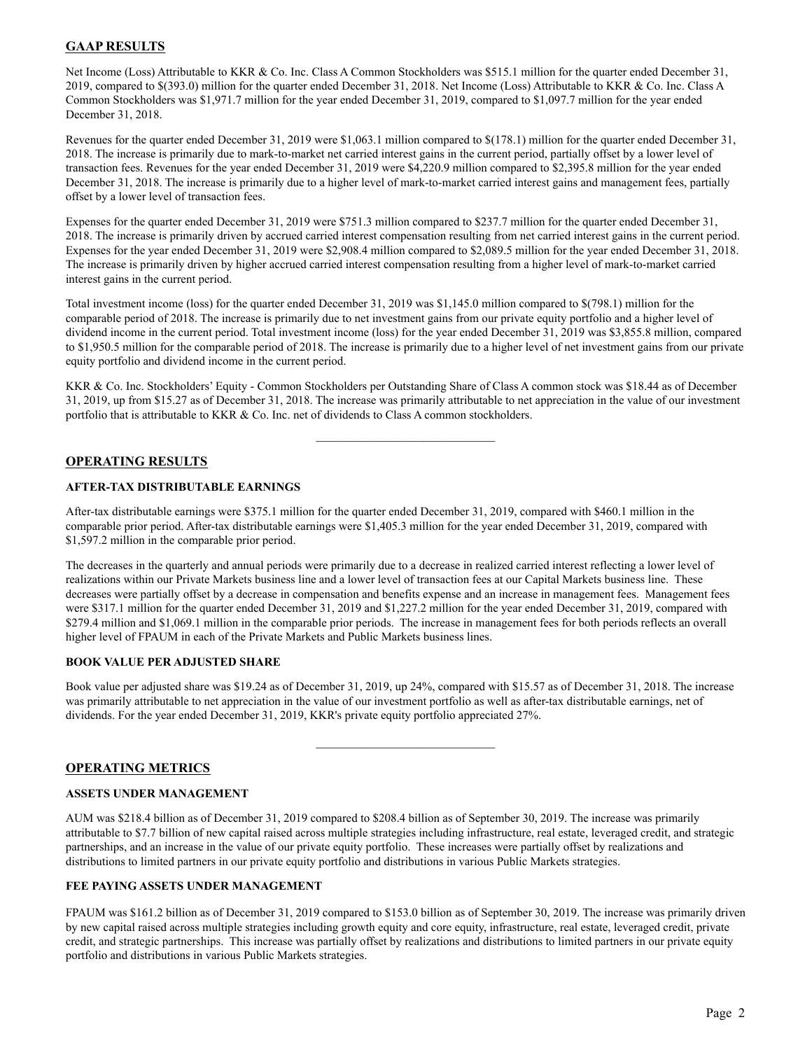# **GAAP RESULTS**

Net Income (Loss) Attributable to KKR & Co. Inc. Class A Common Stockholders was \$515.1 million for the quarter ended December 31, 2019, compared to \$(393.0) million for the quarter ended December 31, 2018. Net Income (Loss) Attributable to KKR & Co. Inc. Class A Common Stockholders was \$1,971.7 million for the year ended December 31, 2019, compared to \$1,097.7 million for the year ended December 31, 2018.

Revenues for the quarter ended December 31, 2019 were \$1,063.1 million compared to \$(178.1) million for the quarter ended December 31, 2018. The increase is primarily due to mark-to-market net carried interest gains in the current period, partially offset by a lower level of transaction fees. Revenues for the year ended December 31, 2019 were \$4,220.9 million compared to \$2,395.8 million for the year ended December 31, 2018. The increase is primarily due to a higher level of mark-to-market carried interest gains and management fees, partially offset by a lower level of transaction fees.

Expenses for the quarter ended December 31, 2019 were \$751.3 million compared to \$237.7 million for the quarter ended December 31, 2018. The increase is primarily driven by accrued carried interest compensation resulting from net carried interest gains in the current period. Expenses for the year ended December 31, 2019 were \$2,908.4 million compared to \$2,089.5 million for the year ended December 31, 2018. The increase is primarily driven by higher accrued carried interest compensation resulting from a higher level of mark-to-market carried interest gains in the current period.

Total investment income (loss) for the quarter ended December 31, 2019 was \$1,145.0 million compared to \$(798.1) million for the comparable period of 2018. The increase is primarily due to net investment gains from our private equity portfolio and a higher level of dividend income in the current period. Total investment income (loss) for the year ended December 31, 2019 was \$3,855.8 million, compared to \$1,950.5 million for the comparable period of 2018. The increase is primarily due to a higher level of net investment gains from our private equity portfolio and dividend income in the current period.

KKR & Co. Inc. Stockholders' Equity - Common Stockholders per Outstanding Share of Class A common stock was \$18.44 as of December 31, 2019, up from \$15.27 as of December 31, 2018. The increase was primarily attributable to net appreciation in the value of our investment portfolio that is attributable to KKR & Co. Inc. net of dividends to Class A common stockholders.

 $\mathcal{L}_\text{max}$  , where  $\mathcal{L}_\text{max}$  and  $\mathcal{L}_\text{max}$ 

# **OPERATING RESULTS**

### **AFTER-TAX DISTRIBUTABLE EARNINGS**

After-tax distributable earnings were \$375.1 million for the quarter ended December 31, 2019, compared with \$460.1 million in the comparable prior period. After-tax distributable earnings were \$1,405.3 million for the year ended December 31, 2019, compared with \$1,597.2 million in the comparable prior period.

The decreases in the quarterly and annual periods were primarily due to a decrease in realized carried interest reflecting a lower level of realizations within our Private Markets business line and a lower level of transaction fees at our Capital Markets business line. These decreases were partially offset by a decrease in compensation and benefits expense and an increase in management fees. Management fees were \$317.1 million for the quarter ended December 31, 2019 and \$1,227.2 million for the year ended December 31, 2019, compared with \$279.4 million and \$1,069.1 million in the comparable prior periods. The increase in management fees for both periods reflects an overall higher level of FPAUM in each of the Private Markets and Public Markets business lines.

### **BOOK VALUE PER ADJUSTED SHARE**

Book value per adjusted share was \$19.24 as of December 31, 2019, up 24%, compared with \$15.57 as of December 31, 2018. The increase was primarily attributable to net appreciation in the value of our investment portfolio as well as after-tax distributable earnings, net of dividends. For the year ended December 31, 2019, KKR's private equity portfolio appreciated 27%.

 $\mathcal{L}_\text{max}$  , where  $\mathcal{L}_\text{max}$  and  $\mathcal{L}_\text{max}$ 

# **OPERATING METRICS**

### **ASSETS UNDER MANAGEMENT**

AUM was \$218.4 billion as of December 31, 2019 compared to \$208.4 billion as of September 30, 2019. The increase was primarily attributable to \$7.7 billion of new capital raised across multiple strategies including infrastructure, real estate, leveraged credit, and strategic partnerships, and an increase in the value of our private equity portfolio. These increases were partially offset by realizations and distributions to limited partners in our private equity portfolio and distributions in various Public Markets strategies.

### **FEE PAYING ASSETS UNDER MANAGEMENT**

FPAUM was \$161.2 billion as of December 31, 2019 compared to \$153.0 billion as of September 30, 2019. The increase was primarily driven by new capital raised across multiple strategies including growth equity and core equity, infrastructure, real estate, leveraged credit, private credit, and strategic partnerships. This increase was partially offset by realizations and distributions to limited partners in our private equity portfolio and distributions in various Public Markets strategies.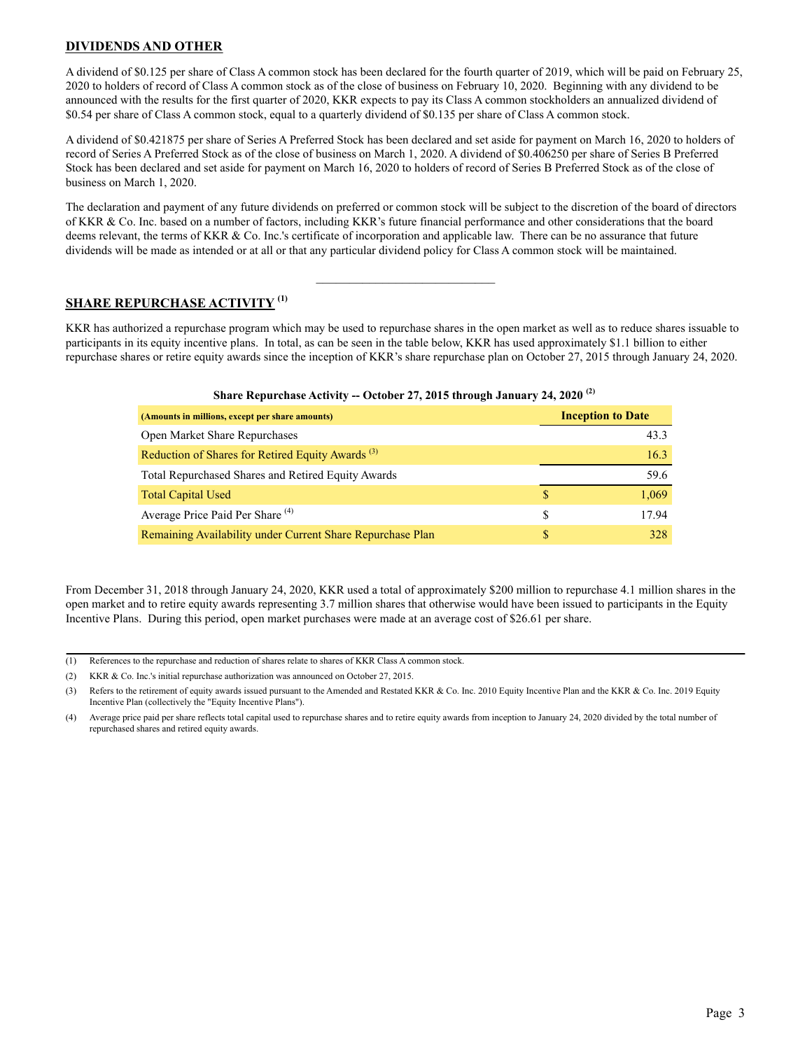# **DIVIDENDS AND OTHER**

A dividend of \$0.125 per share of Class A common stock has been declared for the fourth quarter of 2019, which will be paid on February 25, 2020 to holders of record of Class A common stock as of the close of business on February 10, 2020. Beginning with any dividend to be announced with the results for the first quarter of 2020, KKR expects to pay its Class A common stockholders an annualized dividend of \$0.54 per share of Class A common stock, equal to a quarterly dividend of \$0.135 per share of Class A common stock.

A dividend of \$0.421875 per share of Series A Preferred Stock has been declared and set aside for payment on March 16, 2020 to holders of record of Series A Preferred Stock as of the close of business on March 1, 2020. A dividend of \$0.406250 per share of Series B Preferred Stock has been declared and set aside for payment on March 16, 2020 to holders of record of Series B Preferred Stock as of the close of business on March 1, 2020.

The declaration and payment of any future dividends on preferred or common stock will be subject to the discretion of the board of directors of KKR & Co. Inc. based on a number of factors, including KKR's future financial performance and other considerations that the board deems relevant, the terms of KKR & Co. Inc.'s certificate of incorporation and applicable law. There can be no assurance that future dividends will be made as intended or at all or that any particular dividend policy for Class A common stock will be maintained.

 $\mathcal{L}_\text{max}$  , where  $\mathcal{L}_\text{max}$  and  $\mathcal{L}_\text{max}$ 

# **SHARE REPURCHASE ACTIVITY (1)**

KKR has authorized a repurchase program which may be used to repurchase shares in the open market as well as to reduce shares issuable to participants in its equity incentive plans. In total, as can be seen in the table below, KKR has used approximately \$1.1 billion to either repurchase shares or retire equity awards since the inception of KKR's share repurchase plan on October 27, 2015 through January 24, 2020.

| Share Repurchase Activity -- October 27, 2015 through January 24, 2020 <sup>(2)</sup> |
|---------------------------------------------------------------------------------------|
|                                                                                       |

| (Amounts in millions, except per share amounts)              |    | <b>Inception to Date</b> |
|--------------------------------------------------------------|----|--------------------------|
| <b>Open Market Share Repurchases</b>                         |    | 43.3                     |
| Reduction of Shares for Retired Equity Awards <sup>(3)</sup> |    | 16.3                     |
| <b>Total Repurchased Shares and Retired Equity Awards</b>    |    | 59.6                     |
| <b>Total Capital Used</b>                                    | \$ | 1,069                    |
| Average Price Paid Per Share <sup>(4)</sup>                  | S  | 17.94                    |
| Remaining Availability under Current Share Repurchase Plan   | S  | 328                      |

From December 31, 2018 through January 24, 2020, KKR used a total of approximately \$200 million to repurchase 4.1 million shares in the open market and to retire equity awards representing 3.7 million shares that otherwise would have been issued to participants in the Equity Incentive Plans. During this period, open market purchases were made at an average cost of \$26.61 per share.

- (1) References to the repurchase and reduction of shares relate to shares of KKR Class A common stock.
- (2) KKR & Co. Inc.'s initial repurchase authorization was announced on October 27, 2015.

<sup>(3)</sup> Refers to the retirement of equity awards issued pursuant to the Amended and Restated KKR & Co. Inc. 2010 Equity Incentive Plan and the KKR & Co. Inc. 2019 Equity Incentive Plan (collectively the "Equity Incentive Plans").

<sup>(4)</sup> Average price paid per share reflects total capital used to repurchase shares and to retire equity awards from inception to January 24, 2020 divided by the total number of repurchased shares and retired equity awards.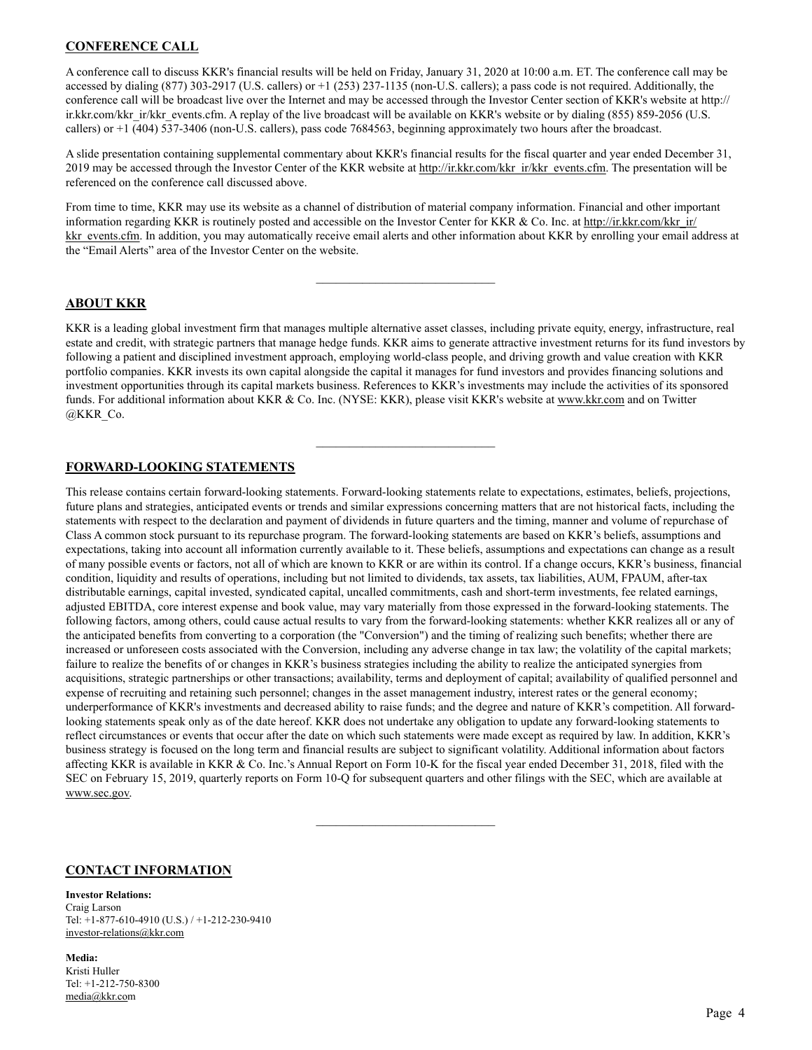# **CONFERENCE CALL**

A conference call to discuss KKR's financial results will be held on Friday, January 31, 2020 at 10:00 a.m. ET. The conference call may be accessed by dialing (877) 303-2917 (U.S. callers) or +1 (253) 237-1135 (non-U.S. callers); a pass code is not required. Additionally, the conference call will be broadcast live over the Internet and may be accessed through the Investor Center section of KKR's website at http:// ir.kkr.com/kkr\_ir/kkr\_events.cfm. A replay of the live broadcast will be available on KKR's website or by dialing (855) 859-2056 (U.S. callers) or +1 (404) 537-3406 (non-U.S. callers), pass code 7684563, beginning approximately two hours after the broadcast.

A slide presentation containing supplemental commentary about KKR's financial results for the fiscal quarter and year ended December 31, 2019 may be accessed through the Investor Center of the KKR website at http://ir.kkr.com/kkr\_ir/kkr\_events.cfm. The presentation will be referenced on the conference call discussed above.

From time to time, KKR may use its website as a channel of distribution of material company information. Financial and other important information regarding KKR is routinely posted and accessible on the Investor Center for KKR & Co. Inc. at http://ir.kkr.com/kkr\_ir/ kkr events.cfm. In addition, you may automatically receive email alerts and other information about KKR by enrolling your email address at the "Email Alerts" area of the Investor Center on the website.

 $\mathcal{L}_\text{max}$  , where  $\mathcal{L}_\text{max}$  and  $\mathcal{L}_\text{max}$ 

# **ABOUT KKR**

KKR is a leading global investment firm that manages multiple alternative asset classes, including private equity, energy, infrastructure, real estate and credit, with strategic partners that manage hedge funds. KKR aims to generate attractive investment returns for its fund investors by following a patient and disciplined investment approach, employing world-class people, and driving growth and value creation with KKR portfolio companies. KKR invests its own capital alongside the capital it manages for fund investors and provides financing solutions and investment opportunities through its capital markets business. References to KKR's investments may include the activities of its sponsored funds. For additional information about KKR & Co. Inc. (NYSE: KKR), please visit KKR's website at www.kkr.com and on Twitter @KKR\_Co.

 $\mathcal{L}_\text{max}$ 

# **FORWARD-LOOKING STATEMENTS**

This release contains certain forward-looking statements. Forward-looking statements relate to expectations, estimates, beliefs, projections, future plans and strategies, anticipated events or trends and similar expressions concerning matters that are not historical facts, including the statements with respect to the declaration and payment of dividends in future quarters and the timing, manner and volume of repurchase of Class A common stock pursuant to its repurchase program. The forward-looking statements are based on KKR's beliefs, assumptions and expectations, taking into account all information currently available to it. These beliefs, assumptions and expectations can change as a result of many possible events or factors, not all of which are known to KKR or are within its control. If a change occurs, KKR's business, financial condition, liquidity and results of operations, including but not limited to dividends, tax assets, tax liabilities, AUM, FPAUM, after-tax distributable earnings, capital invested, syndicated capital, uncalled commitments, cash and short-term investments, fee related earnings, adjusted EBITDA, core interest expense and book value, may vary materially from those expressed in the forward-looking statements. The following factors, among others, could cause actual results to vary from the forward-looking statements: whether KKR realizes all or any of the anticipated benefits from converting to a corporation (the "Conversion") and the timing of realizing such benefits; whether there are increased or unforeseen costs associated with the Conversion, including any adverse change in tax law; the volatility of the capital markets; failure to realize the benefits of or changes in KKR's business strategies including the ability to realize the anticipated synergies from acquisitions, strategic partnerships or other transactions; availability, terms and deployment of capital; availability of qualified personnel and expense of recruiting and retaining such personnel; changes in the asset management industry, interest rates or the general economy; underperformance of KKR's investments and decreased ability to raise funds; and the degree and nature of KKR's competition. All forwardlooking statements speak only as of the date hereof. KKR does not undertake any obligation to update any forward-looking statements to reflect circumstances or events that occur after the date on which such statements were made except as required by law. In addition, KKR's business strategy is focused on the long term and financial results are subject to significant volatility. Additional information about factors affecting KKR is available in KKR & Co. Inc.'s Annual Report on Form 10-K for the fiscal year ended December 31, 2018, filed with the SEC on February 15, 2019, quarterly reports on Form 10-Q for subsequent quarters and other filings with the SEC, which are available at www.sec.gov.

 $\mathcal{L}_\text{max}$  , where  $\mathcal{L}_\text{max}$  and  $\mathcal{L}_\text{max}$ 

# **CONTACT INFORMATION**

### **Investor Relations:**

Craig Larson Tel: +1-877-610-4910 (U.S.) / +1-212-230-9410 investor-relations@kkr.com

### **Media:** Kristi Huller Tel: +1-212-750-8300 media@kkr.com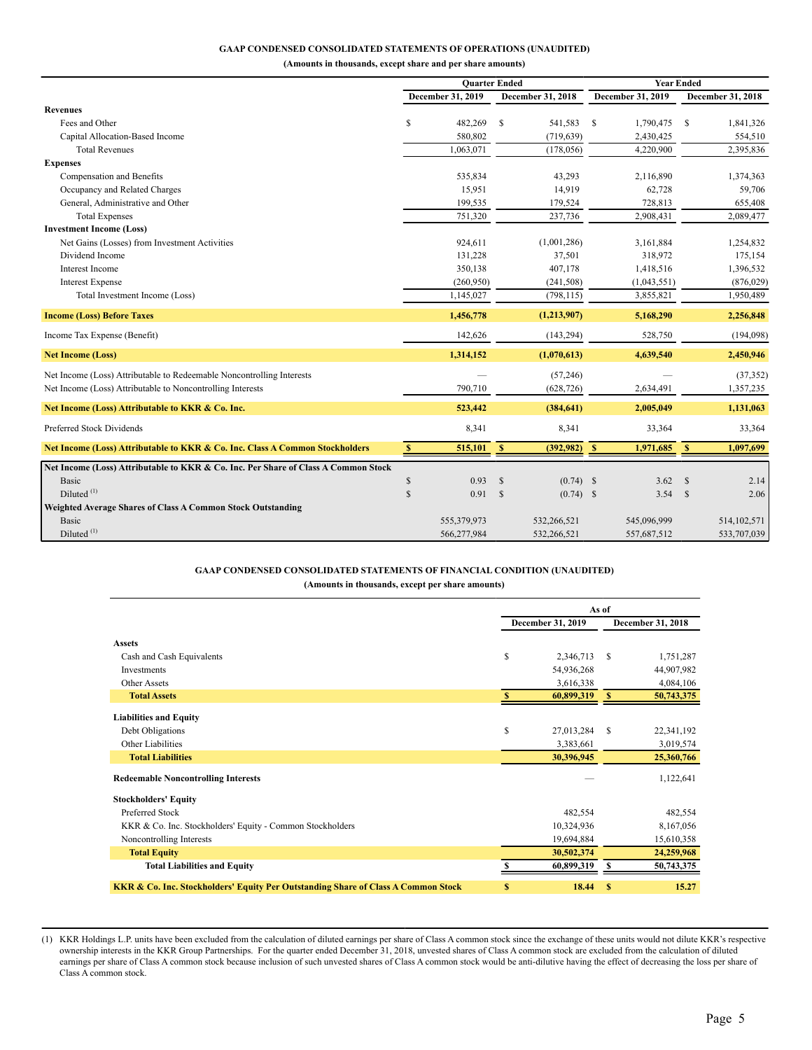### **GAAP CONDENSED CONSOLIDATED STATEMENTS OF OPERATIONS (UNAUDITED)**

**(Amounts in thousands, except share and per share amounts)**

|                                                                                    |    | <b>Quarter Ended</b> |               |                   | <b>Year Ended</b> |                          |              |                   |  |
|------------------------------------------------------------------------------------|----|----------------------|---------------|-------------------|-------------------|--------------------------|--------------|-------------------|--|
|                                                                                    |    | December 31, 2019    |               | December 31, 2018 |                   | <b>December 31, 2019</b> |              | December 31, 2018 |  |
| <b>Revenues</b>                                                                    |    |                      |               |                   |                   |                          |              |                   |  |
| Fees and Other                                                                     | S  | 482,269              | \$            | 541,583           | <sup>\$</sup>     | 1,790,475                | -S           | 1,841,326         |  |
| Capital Allocation-Based Income                                                    |    | 580,802              |               | (719, 639)        |                   | 2,430,425                |              | 554,510           |  |
| <b>Total Revenues</b>                                                              |    | 1,063,071            |               | (178, 056)        |                   | 4,220,900                |              | 2,395,836         |  |
| <b>Expenses</b>                                                                    |    |                      |               |                   |                   |                          |              |                   |  |
| Compensation and Benefits                                                          |    | 535,834              |               | 43,293            |                   | 2,116,890                |              | 1,374,363         |  |
| Occupancy and Related Charges                                                      |    | 15,951               |               | 14,919            |                   | 62,728                   |              | 59,706            |  |
| General, Administrative and Other                                                  |    | 199,535              |               | 179,524           |                   | 728,813                  |              | 655,408           |  |
| <b>Total Expenses</b>                                                              |    | 751,320              |               | 237,736           |                   | 2,908,431                |              | 2,089,477         |  |
| <b>Investment Income (Loss)</b>                                                    |    |                      |               |                   |                   |                          |              |                   |  |
| Net Gains (Losses) from Investment Activities                                      |    | 924,611              |               | (1,001,286)       |                   | 3,161,884                |              | 1,254,832         |  |
| Dividend Income                                                                    |    | 131,228              |               | 37,501            |                   | 318,972                  |              | 175,154           |  |
| <b>Interest Income</b>                                                             |    | 350,138              |               | 407,178           |                   | 1,418,516                |              | 1,396,532         |  |
| <b>Interest Expense</b>                                                            |    | (260,950)            |               | (241, 508)        |                   | (1,043,551)              |              | (876, 029)        |  |
| Total Investment Income (Loss)                                                     |    | 1,145,027            |               | (798, 115)        |                   | 3,855,821                |              | 1,950,489         |  |
| <b>Income (Loss) Before Taxes</b>                                                  |    | 1,456,778            |               | (1,213,907)       |                   | 5,168,290                |              | 2,256,848         |  |
| Income Tax Expense (Benefit)                                                       |    | 142,626              |               | (143, 294)        |                   | 528,750                  |              | (194,098)         |  |
| <b>Net Income (Loss)</b>                                                           |    | 1,314,152            |               | (1,070,613)       |                   | 4,639,540                |              | 2,450,946         |  |
| Net Income (Loss) Attributable to Redeemable Noncontrolling Interests              |    |                      |               | (57, 246)         |                   |                          |              | (37, 352)         |  |
| Net Income (Loss) Attributable to Noncontrolling Interests                         |    | 790,710              |               | (628, 726)        |                   | 2,634,491                |              | 1,357,235         |  |
|                                                                                    |    |                      |               |                   |                   |                          |              |                   |  |
| Net Income (Loss) Attributable to KKR & Co. Inc.                                   |    | 523,442              |               | (384, 641)        |                   | 2,005,049                |              | 1,131,063         |  |
| Preferred Stock Dividends                                                          |    | 8,341                |               | 8,341             |                   | 33,364                   |              | 33,364            |  |
| Net Income (Loss) Attributable to KKR & Co. Inc. Class A Common Stockholders       | S  | 515,101              | $\mathbf{s}$  | (392, 982)        | - \$              | 1,971,685                | $\mathbf{s}$ | 1,097,699         |  |
| Net Income (Loss) Attributable to KKR & Co. Inc. Per Share of Class A Common Stock |    |                      |               |                   |                   |                          |              |                   |  |
| <b>Basic</b>                                                                       | \$ | 0.93                 | <sup>\$</sup> | $(0.74)$ \$       |                   | 3.62                     | <sup>S</sup> | 2.14              |  |
| Diluted $(1)$                                                                      | \$ | 0.91                 | $\mathcal{S}$ | $(0.74)$ \$       |                   | 3.54                     | -S           | 2.06              |  |
| Weighted Average Shares of Class A Common Stock Outstanding                        |    |                      |               |                   |                   |                          |              |                   |  |
| <b>Basic</b>                                                                       |    | 555,379,973          |               | 532,266,521       |                   | 545,096,999              |              | 514, 102, 571     |  |
| Diluted <sup>(1)</sup>                                                             |    | 566,277,984          |               | 532,266,521       |                   | 557,687,512              |              | 533,707,039       |  |

### **GAAP CONDENSED CONSOLIDATED STATEMENTS OF FINANCIAL CONDITION (UNAUDITED) (Amounts in thousands, except per share amounts)**

|                                                                                              |    | As of             |               |                   |
|----------------------------------------------------------------------------------------------|----|-------------------|---------------|-------------------|
|                                                                                              |    | December 31, 2019 |               | December 31, 2018 |
| <b>Assets</b>                                                                                |    |                   |               |                   |
| Cash and Cash Equivalents                                                                    | \$ | 2,346,713         | \$            | 1,751,287         |
| Investments                                                                                  |    | 54,936,268        |               | 44,907,982        |
| Other Assets                                                                                 |    | 3,616,338         |               | 4,084,106         |
| <b>Total Assets</b>                                                                          | S  | 60,899,319        | -S            | 50,743,375        |
| <b>Liabilities and Equity</b>                                                                |    |                   |               |                   |
| Debt Obligations                                                                             | \$ | 27,013,284        | S             | 22,341,192        |
| Other Liabilities                                                                            |    | 3,383,661         |               | 3,019,574         |
| <b>Total Liabilities</b>                                                                     |    | 30,396,945        |               | 25,360,766        |
| <b>Redeemable Noncontrolling Interests</b>                                                   |    |                   |               | 1,122,641         |
| <b>Stockholders' Equity</b>                                                                  |    |                   |               |                   |
| Preferred Stock                                                                              |    | 482,554           |               | 482,554           |
| KKR & Co. Inc. Stockholders' Equity - Common Stockholders                                    |    | 10,324,936        |               | 8,167,056         |
| Noncontrolling Interests                                                                     |    | 19,694,884        |               | 15,610,358        |
| <b>Total Equity</b>                                                                          |    | 30,502,374        |               | 24,259,968        |
| <b>Total Liabilities and Equity</b>                                                          |    | 60,899,319        | S             | 50,743,375        |
| <b>KKR &amp; Co. Inc. Stockholders' Equity Per Outstanding Share of Class A Common Stock</b> | \$ | 18.44             | <sup>\$</sup> | 15.27             |

(1) KKR Holdings L.P. units have been excluded from the calculation of diluted earnings per share of Class A common stock since the exchange of these units would not dilute KKR's respective ownership interests in the KKR Group Partnerships. For the quarter ended December 31, 2018, unvested shares of Class A common stock are excluded from the calculation of diluted earnings per share of Class A common stock because inclusion of such unvested shares of Class A common stock would be anti-dilutive having the effect of decreasing the loss per share of Class A common stock.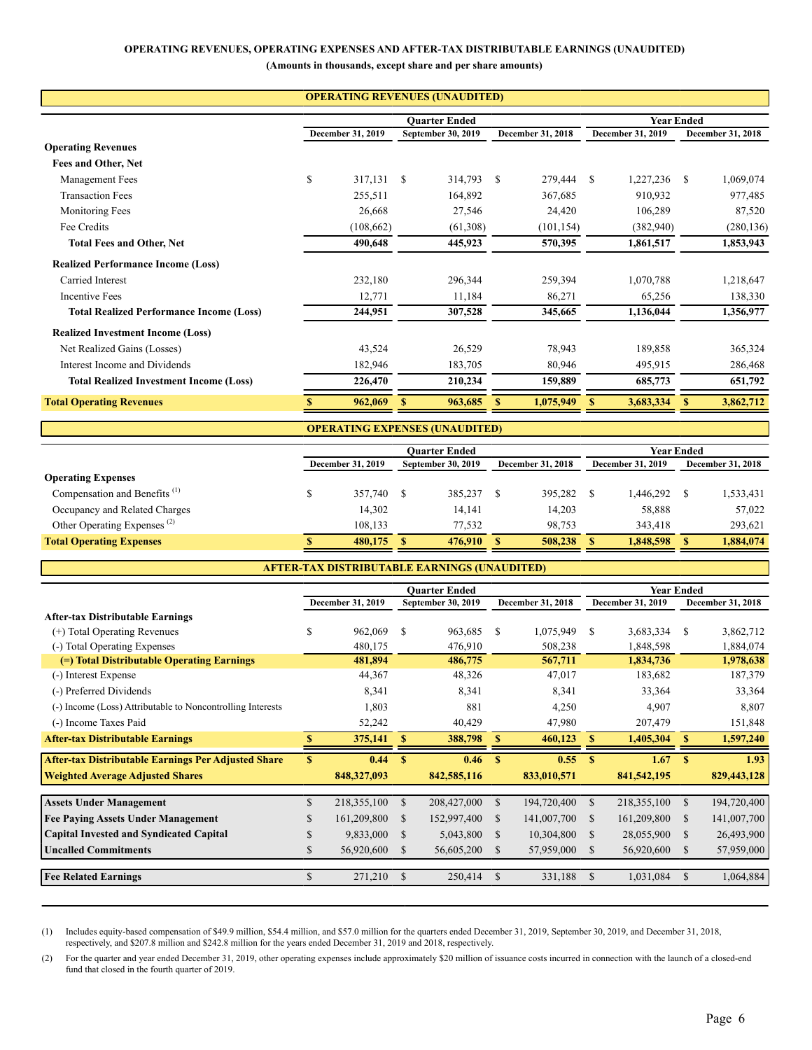### **OPERATING REVENUES, OPERATING EXPENSES AND AFTER-TAX DISTRIBUTABLE EARNINGS (UNAUDITED)**

**(Amounts in thousands, except share and per share amounts)**

|                                                 |                   |            | <b>Quarter Ended</b> | <b>Year Ended</b> |                   |            |                   |           |   |                   |
|-------------------------------------------------|-------------------|------------|----------------------|-------------------|-------------------|------------|-------------------|-----------|---|-------------------|
|                                                 | December 31, 2019 |            | September 30, 2019   |                   | December 31, 2018 |            | December 31, 2019 |           |   | December 31, 2018 |
| <b>Operating Revenues</b>                       |                   |            |                      |                   |                   |            |                   |           |   |                   |
| Fees and Other, Net                             |                   |            |                      |                   |                   |            |                   |           |   |                   |
| Management Fees                                 | \$                | 317,131    | S                    | 314,793           | <sup>S</sup>      | 279,444    | <sup>\$</sup>     | 1,227,236 | S | 1,069,074         |
| <b>Transaction Fees</b>                         |                   | 255,511    |                      | 164,892           |                   | 367,685    |                   | 910,932   |   | 977,485           |
| Monitoring Fees                                 |                   | 26,668     |                      | 27,546            |                   | 24,420     |                   | 106,289   |   | 87,520            |
| Fee Credits                                     |                   | (108, 662) |                      | (61,308)          |                   | (101, 154) |                   | (382,940) |   | (280, 136)        |
| <b>Total Fees and Other, Net</b>                |                   | 490,648    |                      | 445,923           |                   | 570,395    |                   | 1,861,517 |   | 1,853,943         |
| <b>Realized Performance Income (Loss)</b>       |                   |            |                      |                   |                   |            |                   |           |   |                   |
| Carried Interest                                |                   | 232,180    |                      | 296,344           |                   | 259,394    |                   | 1,070,788 |   | 1,218,647         |
| <b>Incentive Fees</b>                           |                   | 12,771     |                      | 11,184            |                   | 86,271     |                   | 65,256    |   | 138,330           |
| <b>Total Realized Performance Income (Loss)</b> |                   | 244,951    |                      | 307,528           |                   | 345,665    |                   | 1,136,044 |   | 1,356,977         |
| <b>Realized Investment Income (Loss)</b>        |                   |            |                      |                   |                   |            |                   |           |   |                   |
| Net Realized Gains (Losses)                     |                   | 43,524     |                      | 26,529            |                   | 78,943     |                   | 189,858   |   | 365,324           |
| Interest Income and Dividends                   |                   | 182,946    |                      | 183,705           |                   | 80,946     |                   | 495,915   |   | 286,468           |
| <b>Total Realized Investment Income (Loss)</b>  |                   | 226,470    |                      | 210,234           |                   | 159,889    |                   | 685,773   |   | 651,792           |
| <b>Total Operating Revenues</b>                 |                   | 962,069    | S                    | 963,685           |                   | 1,075,949  | S                 | 3,683,334 |   | 3,862,712         |

|                                          |                                    |         |    | <b>OPERATING EXPENSES (UNAUDITED)</b> |  |                          |  |                          |    |                          |  |  |  |
|------------------------------------------|------------------------------------|---------|----|---------------------------------------|--|--------------------------|--|--------------------------|----|--------------------------|--|--|--|
|                                          | Year Ended<br><b>Ouarter Ended</b> |         |    |                                       |  |                          |  |                          |    |                          |  |  |  |
|                                          | <b>December 31, 2019</b>           |         |    | September 30, 2019                    |  | <b>December 31, 2018</b> |  | <b>December 31, 2019</b> |    | <b>December 31, 2018</b> |  |  |  |
| <b>Operating Expenses</b>                |                                    |         |    |                                       |  |                          |  |                          |    |                          |  |  |  |
| Compensation and Benefits <sup>(1)</sup> |                                    | 357,740 |    | 385,237 \$                            |  | 395,282                  |  | 1.446.292                |    | 1,533,431                |  |  |  |
| Occupancy and Related Charges            |                                    | 14,302  |    | 14.141                                |  | 14.203                   |  | 58,888                   |    | 57,022                   |  |  |  |
| Other Operating Expenses <sup>(2)</sup>  |                                    | 108.133 |    | 77.532                                |  | 98.753                   |  | 343.418                  |    | 293.621                  |  |  |  |
| <b>Total Operating Expenses</b>          |                                    | 480,175 | S. | 476,910                               |  | 508,238                  |  | 1,848,598                | S. | 1,884,074                |  |  |  |
|                                          |                                    |         |    |                                       |  |                          |  |                          |    |                          |  |  |  |

| <b>AFTER-TAX DISTRIBUTABLE EARNINGS (UNAUDITED)</b>        |               |                   |               |                      |              |                          |               |                   |               |                   |
|------------------------------------------------------------|---------------|-------------------|---------------|----------------------|--------------|--------------------------|---------------|-------------------|---------------|-------------------|
|                                                            |               |                   |               | <b>Ouarter Ended</b> |              |                          |               | <b>Year Ended</b> |               |                   |
|                                                            |               | December 31, 2019 |               | September 30, 2019   |              | <b>December 31, 2018</b> |               | December 31, 2019 |               | December 31, 2018 |
| <b>After-tax Distributable Earnings</b>                    |               |                   |               |                      |              |                          |               |                   |               |                   |
| (+) Total Operating Revenues                               | \$.           | 962,069           | S             | 963,685              | S            | 1,075,949                | -S            | 3,683,334         | S             | 3,862,712         |
| (-) Total Operating Expenses                               |               | 480,175           |               | 476,910              |              | 508,238                  |               | 1,848,598         |               | 1,884,074         |
| (=) Total Distributable Operating Earnings                 |               | 481,894           |               | 486,775              |              | 567,711                  |               | 1,834,736         |               | 1,978,638         |
| (-) Interest Expense                                       |               | 44,367            |               | 48,326               |              | 47,017                   |               | 183,682           |               | 187,379           |
| (-) Preferred Dividends                                    |               | 8,341             |               | 8,341                |              | 8,341                    |               | 33,364            |               | 33,364            |
| (-) Income (Loss) Attributable to Noncontrolling Interests |               | 1,803             |               | 881                  |              | 4,250                    |               | 4,907             |               | 8,807             |
| (-) Income Taxes Paid                                      |               | 52,242            |               | 40,429               |              | 47,980                   |               | 207,479           |               | 151,848           |
| <b>After-tax Distributable Earnings</b>                    |               | 375,141           | S             | 388,798              | $\mathbb{S}$ | 460,123                  | S             | 1,405,304         | $\mathbf{s}$  | 1,597,240         |
| <b>After-tax Distributable Earnings Per Adjusted Share</b> | $\mathbf{s}$  | 0.44              | S             | 0.46                 | $\mathbf{s}$ | 0.55                     | $\mathbf{s}$  | 1.67              | <b>S</b>      | 1.93              |
| <b>Weighted Average Adjusted Shares</b>                    |               | 848, 327, 093     |               | 842,585,116          |              | 833,010,571              |               | 841, 542, 195     |               | 829,443,128       |
|                                                            |               |                   |               |                      |              |                          |               |                   |               |                   |
| <b>Assets Under Management</b>                             | \$.           | 218,355,100       | <sup>\$</sup> | 208,427,000          | \$           | 194,720,400              | <sup>\$</sup> | 218,355,100       | $\mathbb{S}$  | 194,720,400       |
| <b>Fee Paying Assets Under Management</b>                  |               | 161,209,800       | \$.           | 152,997,400          | \$.          | 141,007,700              | -S            | 161,209,800       | <sup>\$</sup> | 141,007,700       |
| <b>Capital Invested and Syndicated Capital</b>             |               | 9,833,000         | <sup>\$</sup> | 5,043,800            | \$           | 10,304,800               | <b>S</b>      | 28,055,900        | <sup>\$</sup> | 26,493,900        |
| <b>Uncalled Commitments</b>                                | S.            | 56,920,600        | S             | 56,605,200           | S            | 57,959,000               | S             | 56,920,600        | <sup>\$</sup> | 57,959,000        |
| <b>Fee Related Earnings</b>                                | <sup>\$</sup> | 271,210           | S             | 250,414              | S            | 331,188                  | S             | 1,031,084         | <sup>\$</sup> | 1,064,884         |
|                                                            |               |                   |               |                      |              |                          |               |                   |               |                   |

(1) Includes equity-based compensation of \$49.9 million, \$54.4 million, and \$57.0 million for the quarters ended December 31, 2019, September 30, 2019, and December 31, 2018, respectively, and \$207.8 million and \$242.8 million for the years ended December 31, 2019 and 2018, respectively.

(2) For the quarter and year ended December 31, 2019, other operating expenses include approximately \$20 million of issuance costs incurred in connection with the launch of a closed-end fund that closed in the fourth quarter of 2019.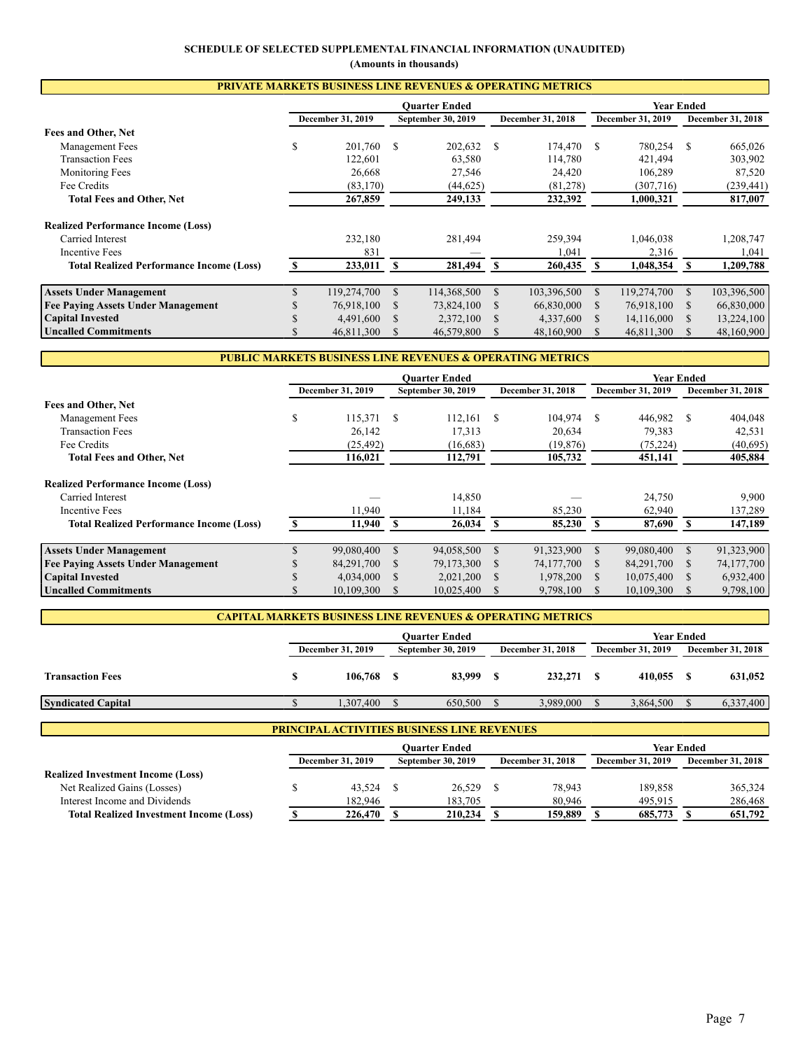# **SCHEDULE OF SELECTED SUPPLEMENTAL FINANCIAL INFORMATION (UNAUDITED)**

**(Amounts in thousands)**

| <b>PRIVATE MARKETS BUSINESS LINE REVENUES &amp; OPERATING METRICS</b> |   |                   |               |                      |      |                   |     |                   |          |                   |  |  |
|-----------------------------------------------------------------------|---|-------------------|---------------|----------------------|------|-------------------|-----|-------------------|----------|-------------------|--|--|
|                                                                       |   |                   |               | <b>Ouarter Ended</b> |      |                   |     | Year Ended        |          |                   |  |  |
|                                                                       |   | December 31, 2019 |               | September 30, 2019   |      | December 31, 2018 |     | December 31, 2019 |          | December 31, 2018 |  |  |
| Fees and Other, Net                                                   |   |                   |               |                      |      |                   |     |                   |          |                   |  |  |
| Management Fees                                                       | ъ | 201,760           | <sup>\$</sup> | 202,632 \$           |      | 174,470           | \$. | 780,254           | S        | 665,026           |  |  |
| <b>Transaction Fees</b>                                               |   | 122,601           |               | 63,580               |      | 114,780           |     | 421,494           |          | 303,902           |  |  |
| <b>Monitoring Fees</b>                                                |   | 26,668            |               | 27,546               |      | 24,420            |     | 106,289           |          | 87,520            |  |  |
| Fee Credits                                                           |   | (83, 170)         |               | (44, 625)            |      | (81,278)          |     | (307,716)         |          | (239, 441)        |  |  |
| <b>Total Fees and Other, Net</b>                                      |   | 267,859           |               | 249,133              |      | 232,392           |     | 1,000,321         |          | 817,007           |  |  |
| <b>Realized Performance Income (Loss)</b>                             |   |                   |               |                      |      |                   |     |                   |          |                   |  |  |
| Carried Interest                                                      |   | 232,180           |               | 281,494              |      | 259,394           |     | 1,046,038         |          | 1,208,747         |  |  |
| <b>Incentive Fees</b>                                                 |   | 831               |               |                      |      | 1,041             |     | 2,316             |          | 1,041             |  |  |
| <b>Total Realized Performance Income (Loss)</b>                       |   | 233,011           | S             | 281,494              | - \$ | 260,435           | S   | 1,048,354         |          | 1,209,788         |  |  |
| <b>Assets Under Management</b>                                        |   | 119,274,700       | \$.           | 114,368,500          |      | 103,396,500       | \$  | 119,274,700       | \$.      | 103,396,500       |  |  |
| <b>Fee Paying Assets Under Management</b>                             |   | 76,918,100        |               | 73,824,100           |      | 66,830,000        |     | 76,918,100        | <b>S</b> | 66,830,000        |  |  |
| <b>Capital Invested</b>                                               |   | 4,491,600         |               | 2,372,100            |      | 4,337,600         |     | 14,116,000        |          | 13,224,100        |  |  |
| Uncalled Commitments                                                  |   | 46.811.300        | S.            | 46,579,800           |      | 48.160.900        |     | 46,811,300        | S.       | 48,160,900        |  |  |

# **PUBLIC MARKETS BUSINESS LINE REVENUES & OPERATING METRICS**

|                                                 | <b>Ouarter Ended</b> |                   |               |                    |               |                          |    | <b>Year Ended</b>        |          |                   |  |
|-------------------------------------------------|----------------------|-------------------|---------------|--------------------|---------------|--------------------------|----|--------------------------|----------|-------------------|--|
|                                                 |                      | December 31, 2019 |               | September 30, 2019 |               | <b>December 31, 2018</b> |    | <b>December 31, 2019</b> |          | December 31, 2018 |  |
| Fees and Other, Net                             |                      |                   |               |                    |               |                          |    |                          |          |                   |  |
| Management Fees                                 | \$                   | 115,371           | <sup>\$</sup> | 112,161            | $^{\circ}$    | 104,974                  | S  | 446,982                  | -S       | 404,048           |  |
| <b>Transaction Fees</b>                         |                      | 26,142            |               | 17,313             |               | 20.634                   |    | 79.383                   |          | 42,531            |  |
| Fee Credits                                     |                      | (25, 492)         |               | (16,683)           |               | (19, 876)                |    | (75, 224)                |          | (40,695)          |  |
| <b>Total Fees and Other, Net</b>                |                      | 116,021           |               | 112,791            |               | 105,732                  |    | 451,141                  |          | 405,884           |  |
| <b>Realized Performance Income (Loss)</b>       |                      |                   |               |                    |               |                          |    |                          |          |                   |  |
| Carried Interest                                |                      |                   |               | 14,850             |               |                          |    | 24,750                   |          | 9,900             |  |
| Incentive Fees                                  |                      | 11.940            |               | 11.184             |               | 85,230                   |    | 62,940                   |          | 137,289           |  |
| <b>Total Realized Performance Income (Loss)</b> |                      | 11.940            | -S            | 26,034             | -SS           | 85,230                   | S. | 87,690                   | -S       | 147,189           |  |
| <b>Assets Under Management</b>                  |                      | 99,080,400        | <b>S</b>      | 94,058,500         | \$.           | 91,323,900               | S. | 99,080,400               |          | 91,323,900        |  |
| <b>Fee Paving Assets Under Management</b>       |                      | 84,291,700        |               | 79,173,300         | S             | 74,177,700               | S  | 84,291,700               | <b>S</b> | 74,177,700        |  |
| <b>Capital Invested</b>                         |                      | 4,034,000         |               | 2,021,200          | <sup>\$</sup> | 1,978,200                | S. | 10,075,400               |          | 6,932,400         |  |
| <b>Uncalled Commitments</b>                     |                      | 10,109,300        |               | 10,025,400         |               | 9,798,100                |    | 10,109,300               |          | 9,798,100         |  |

|                          | <b>CAPITAL MARKETS BUSINESS LINE REVENUES &amp; OPERATING METRICS</b> |                   |                          |                          |  |  |  |  |  |  |  |  |
|--------------------------|-----------------------------------------------------------------------|-------------------|--------------------------|--------------------------|--|--|--|--|--|--|--|--|
|                          | Ouarter Ended                                                         | <b>Year Ended</b> |                          |                          |  |  |  |  |  |  |  |  |
| <b>December 31, 2019</b> | <b>December 31, 2018</b><br><b>September 30, 2019</b>                 |                   | <b>December 31, 2019</b> | <b>December 31, 2018</b> |  |  |  |  |  |  |  |  |
| 106,768                  | 83,999                                                                | 232,271           | 410.055                  | 631.052                  |  |  |  |  |  |  |  |  |
| .307,400                 | 650,500                                                               | 3,989,000         | 3,864,500                | 6,337,400                |  |  |  |  |  |  |  |  |
|                          |                                                                       |                   |                          |                          |  |  |  |  |  |  |  |  |

| <b>PRINCIPAL ACTIVITIES BUSINESS LINE REVENUES</b> |  |                          |               |                           |  |                          |  |                          |                          |  |  |
|----------------------------------------------------|--|--------------------------|---------------|---------------------------|--|--------------------------|--|--------------------------|--------------------------|--|--|
|                                                    |  |                          | Ouarter Ended | <b>Year Ended</b>         |  |                          |  |                          |                          |  |  |
|                                                    |  | <b>December 31, 2019</b> |               | <b>September 30, 2019</b> |  | <b>December 31, 2018</b> |  | <b>December 31, 2019</b> | <b>December 31, 2018</b> |  |  |
| <b>Realized Investment Income (Loss)</b>           |  |                          |               |                           |  |                          |  |                          |                          |  |  |
| Net Realized Gains (Losses)                        |  | 43.524                   |               | 26,529                    |  | 78.943                   |  | 189,858                  | 365,324                  |  |  |
| Interest Income and Dividends                      |  | 182,946                  |               | 183,705                   |  | 80,946                   |  | 495,915                  | 286,468                  |  |  |
| <b>Total Realized Investment Income (Loss)</b>     |  | 226,470                  |               | 210,234                   |  | 159,889                  |  | 685,773                  | 651,792                  |  |  |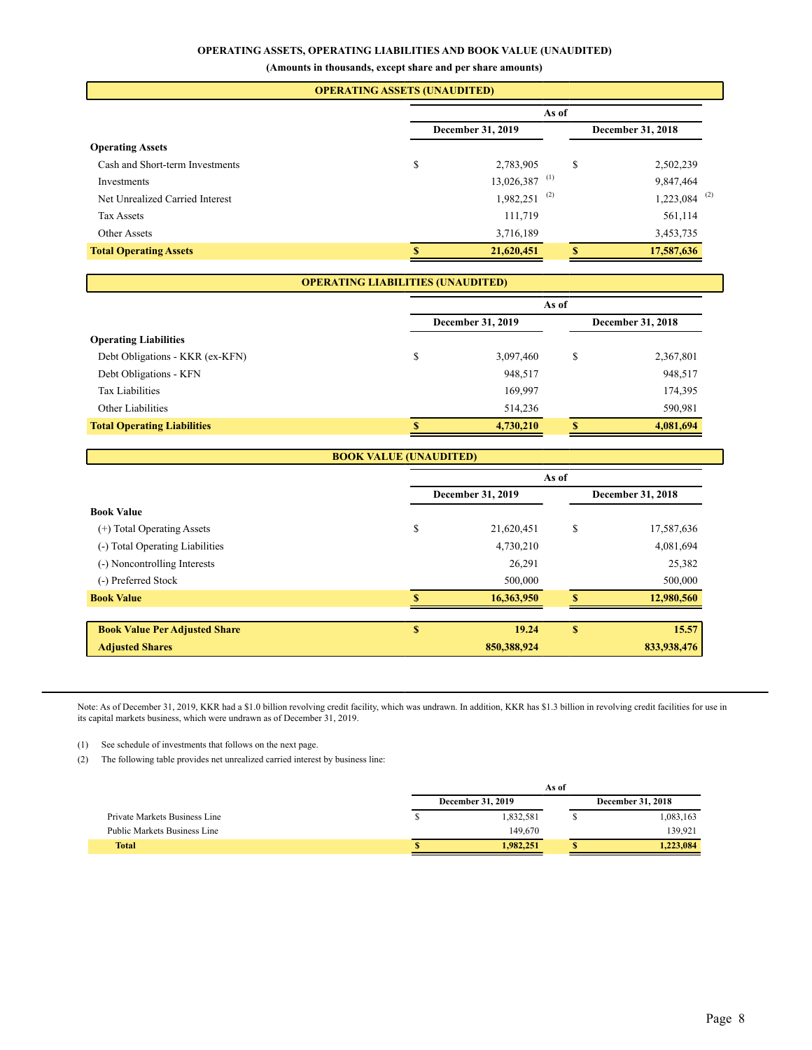### **OPERATING ASSETS, OPERATING LIABILITIES AND BOOK VALUE (UNAUDITED)**

**(Amounts in thousands, except share and per share amounts)**

| <b>OPERATING ASSETS (UNAUDITED)</b> |    |                             |          |                            |  |  |  |  |  |  |  |
|-------------------------------------|----|-----------------------------|----------|----------------------------|--|--|--|--|--|--|--|
|                                     |    | As of                       |          |                            |  |  |  |  |  |  |  |
|                                     |    | <b>December 31, 2019</b>    |          |                            |  |  |  |  |  |  |  |
| <b>Operating Assets</b>             |    |                             |          |                            |  |  |  |  |  |  |  |
| Cash and Short-term Investments     | \$ | 2,783,905                   | \$       | 2,502,239                  |  |  |  |  |  |  |  |
| Investments                         |    | $13,026,387$ <sup>(1)</sup> |          | 9,847,464                  |  |  |  |  |  |  |  |
| Net Unrealized Carried Interest     |    | $1,982,251$ <sup>(2)</sup>  |          | $1,223,084$ <sup>(2)</sup> |  |  |  |  |  |  |  |
| <b>Tax Assets</b>                   |    | 111,719                     |          | 561,114                    |  |  |  |  |  |  |  |
| Other Assets                        |    | 3,716,189                   |          | 3,453,735                  |  |  |  |  |  |  |  |
| <b>Total Operating Assets</b>       |    | 21,620,451                  | <b>S</b> | 17,587,636                 |  |  |  |  |  |  |  |
|                                     |    |                             |          |                            |  |  |  |  |  |  |  |

# **OPERATING LIABILITIES (UNAUDITED)**

|                                    |   | As of             |    |                          |  |  |  |  |  |
|------------------------------------|---|-------------------|----|--------------------------|--|--|--|--|--|
|                                    |   | December 31, 2019 |    | <b>December 31, 2018</b> |  |  |  |  |  |
| <b>Operating Liabilities</b>       |   |                   |    |                          |  |  |  |  |  |
| Debt Obligations - KKR (ex-KFN)    | C | 3,097,460         | \$ | 2,367,801                |  |  |  |  |  |
| Debt Obligations - KFN             |   | 948,517           |    | 948,517                  |  |  |  |  |  |
| <b>Tax Liabilities</b>             |   | 169,997           |    | 174,395                  |  |  |  |  |  |
| Other Liabilities                  |   | 514,236           |    | 590,981                  |  |  |  |  |  |
| <b>Total Operating Liabilities</b> | S | 4,730,210         | S  | 4,081,694                |  |  |  |  |  |

### **BOOK VALUE (UNAUDITED)**

|                                      |    | As of             |                   |             |  |  |  |  |  |
|--------------------------------------|----|-------------------|-------------------|-------------|--|--|--|--|--|
|                                      |    | December 31, 2019 | December 31, 2018 |             |  |  |  |  |  |
| <b>Book Value</b>                    |    |                   |                   |             |  |  |  |  |  |
| (+) Total Operating Assets           | \$ | 21,620,451        | \$                | 17,587,636  |  |  |  |  |  |
| (-) Total Operating Liabilities      |    | 4,730,210         |                   | 4,081,694   |  |  |  |  |  |
| (-) Noncontrolling Interests         |    | 26,291            |                   | 25,382      |  |  |  |  |  |
| (-) Preferred Stock                  |    | 500,000           |                   | 500,000     |  |  |  |  |  |
| <b>Book Value</b>                    |    | 16,363,950        | S                 | 12,980,560  |  |  |  |  |  |
|                                      |    |                   |                   |             |  |  |  |  |  |
| <b>Book Value Per Adjusted Share</b> | S  | 19.24             | S                 | 15.57       |  |  |  |  |  |
| <b>Adjusted Shares</b>               |    | 850,388,924       |                   | 833,938,476 |  |  |  |  |  |

Note: As of December 31, 2019, KKR had a \$1.0 billion revolving credit facility, which was undrawn. In addition, KKR has \$1.3 billion in revolving credit facilities for use in its capital markets business, which were undrawn as of December 31, 2019.

(1) See schedule of investments that follows on the next page.

(2) The following table provides net unrealized carried interest by business line:

|                                     |                   | As of     |  |                          |  |  |  |  |
|-------------------------------------|-------------------|-----------|--|--------------------------|--|--|--|--|
|                                     | December 31, 2019 |           |  | <b>December 31, 2018</b> |  |  |  |  |
| Private Markets Business Line       |                   | 1.832.581 |  | 1,083,163                |  |  |  |  |
| <b>Public Markets Business Line</b> |                   | 149.670   |  | 139.921                  |  |  |  |  |
| <b>Total</b>                        |                   | 1.982.251 |  | 1.223.084                |  |  |  |  |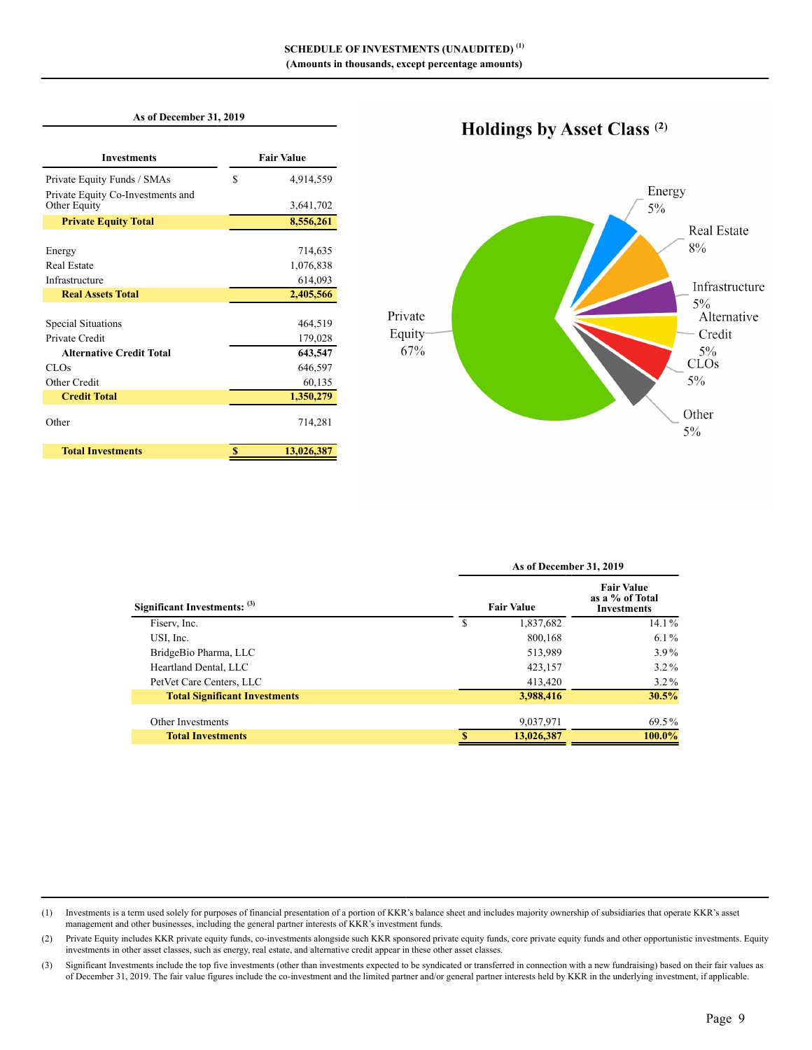### **As of December 31, 2019**

| <b>Investments</b>                                |   | <b>Fair Value</b> |
|---------------------------------------------------|---|-------------------|
| Private Equity Funds / SMAs                       | S | 4,914,559         |
| Private Equity Co-Investments and<br>Other Equity |   | 3,641,702         |
| <b>Private Equity Total</b>                       |   | 8,556,261         |
|                                                   |   |                   |
| Energy                                            |   | 714,635           |
| <b>Real Estate</b>                                |   | 1,076,838         |
| Infrastructure                                    |   | 614,093           |
| <b>Real Assets Total</b>                          |   | 2,405,566         |
|                                                   |   |                   |
| Special Situations                                |   | 464,519           |
| Private Credit                                    |   | 179,028           |
| <b>Alternative Credit Total</b>                   |   | 643,547           |
| CLO <sub>s</sub>                                  |   | 646,597           |
| Other Credit                                      |   | 60,135            |
| <b>Credit Total</b>                               |   | 1,350,279         |
| Other                                             |   | 714,281           |
| <b>Total Investments</b>                          | S | 13,026,387        |

# Holdings by Asset Class<sup>(2)</sup>



|                                      |                   | As of December 31, 2019                                    |          |  |  |  |  |  |
|--------------------------------------|-------------------|------------------------------------------------------------|----------|--|--|--|--|--|
| Significant Investments: (3)         | <b>Fair Value</b> | <b>Fair Value</b><br>as a % of Total<br><b>Investments</b> |          |  |  |  |  |  |
| Fisery, Inc.                         | S                 | 1,837,682                                                  | $14.1\%$ |  |  |  |  |  |
| USI, Inc.                            |                   | 800,168                                                    | $6.1\%$  |  |  |  |  |  |
| BridgeBio Pharma, LLC                |                   | 513,989                                                    | $3.9\%$  |  |  |  |  |  |
| Heartland Dental, LLC                |                   | 423,157                                                    | $3.2\%$  |  |  |  |  |  |
| PetVet Care Centers, LLC             |                   | 413,420                                                    | $3.2\%$  |  |  |  |  |  |
| <b>Total Significant Investments</b> |                   | 3,988,416                                                  | 30.5%    |  |  |  |  |  |
| Other Investments                    |                   | 9,037,971                                                  | 69.5%    |  |  |  |  |  |
| <b>Total Investments</b>             |                   | 13,026,387                                                 | 100.0%   |  |  |  |  |  |

<sup>(1)</sup> Investments is a term used solely for purposes of financial presentation of a portion of KKR's balance sheet and includes majority ownership of subsidiaries that operate KKR's asset management and other businesses, including the general partner interests of KKR's investment funds.

<sup>(2)</sup> Private Equity includes KKR private equity funds, co-investments alongside such KKR sponsored private equity funds, core private equity funds and other opportunistic investments. Equity investments in other asset classes, such as energy, real estate, and alternative credit appear in these other asset classes.

<sup>(3)</sup> Significant Investments include the top five investments (other than investments expected to be syndicated or transferred in connection with a new fundraising) based on their fair values as of December 31, 2019. The fair value figures include the co-investment and the limited partner and/or general partner interests held by KKR in the underlying investment, if applicable.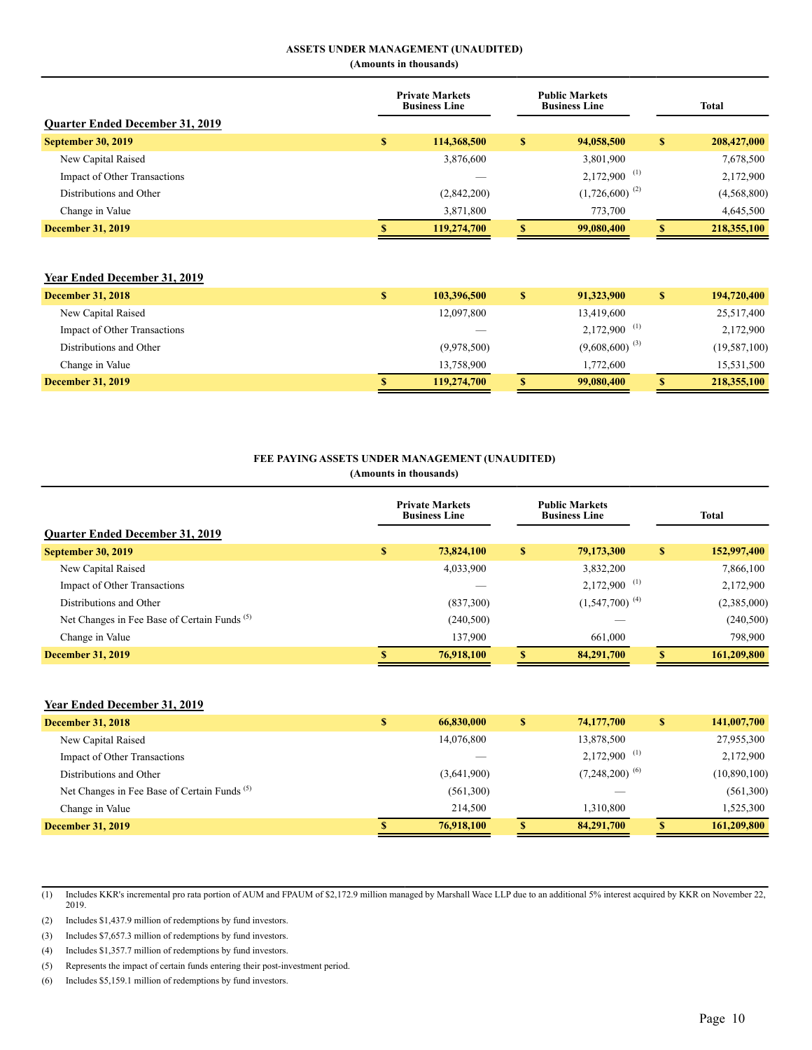### **ASSETS UNDER MANAGEMENT (UNAUDITED)**

**(Amounts in thousands)**

| <b>Ouarter Ended December 31, 2019</b> | <b>Private Markets</b><br><b>Public Markets</b><br><b>Business Line</b><br><b>Business Line</b> |    |                            |              | Total       |
|----------------------------------------|-------------------------------------------------------------------------------------------------|----|----------------------------|--------------|-------------|
| <b>September 30, 2019</b>              | \$<br>114,368,500                                                                               | \$ | 94,058,500                 | $\mathbf{s}$ | 208,427,000 |
| New Capital Raised                     | 3,876,600                                                                                       |    | 3,801,900                  |              | 7,678,500   |
| Impact of Other Transactions           |                                                                                                 |    | $2,172,900$ <sup>(1)</sup> |              | 2,172,900   |
| Distributions and Other                | (2,842,200)                                                                                     |    | $(1,726,600)^{(2)}$        |              | (4,568,800) |
| Change in Value                        | 3,871,800                                                                                       |    | 773,700                    |              | 4,645,500   |
| <b>December 31, 2019</b>               | 119,274,700                                                                                     | S  | 99,080,400                 |              | 218,355,100 |

### **Year Ended December 31, 2019**

| <b>December 31, 2018</b>     | 103,396,500 | 91.323.900          | 194,720,400  |
|------------------------------|-------------|---------------------|--------------|
| New Capital Raised           | 12,097,800  | 13,419,600          | 25,517,400   |
| Impact of Other Transactions |             | 2,172,900<br>- (1)  | 2,172,900    |
| Distributions and Other      | (9,978,500) | $(9,608,600)^{(3)}$ | (19,587,100) |
| Change in Value              | 13,758,900  | 1,772,600           | 15,531,500   |
| <b>December 31, 2019</b>     | 119,274,700 | 99,080,400          | 218,355,100  |

### **FEE PAYING ASSETS UNDER MANAGEMENT (UNAUDITED)**

**(Amounts in thousands)**

| <b>Ouarter Ended December 31, 2019</b>                  |   | <b>Public Markets</b><br><b>Private Markets</b><br><b>Business Line</b><br><b>Business Line</b> |    |                            |   | <b>Total</b> |
|---------------------------------------------------------|---|-------------------------------------------------------------------------------------------------|----|----------------------------|---|--------------|
| <b>September 30, 2019</b>                               | S | 73,824,100                                                                                      | S  | 79,173,300                 | S | 152,997,400  |
| New Capital Raised                                      |   | 4,033,900                                                                                       |    | 3,832,200                  |   | 7,866,100    |
| Impact of Other Transactions                            |   |                                                                                                 |    | $2,172,900$ <sup>(1)</sup> |   | 2,172,900    |
| Distributions and Other                                 |   | (837,300)                                                                                       |    | $(1,547,700)^{(4)}$        |   | (2,385,000)  |
| Net Changes in Fee Base of Certain Funds <sup>(5)</sup> |   | (240, 500)                                                                                      |    |                            |   | (240, 500)   |
| Change in Value                                         |   | 137,900                                                                                         |    | 661,000                    |   | 798,900      |
| <b>December 31, 2019</b>                                |   | 76,918,100                                                                                      | \$ | 84,291,700                 | S | 161,209,800  |

### **Year Ended December 31, 2019**

| <b>December 31, 2018</b>                                | \$<br>66,830,000 | \$ | 74,177,700                 | \$. | 141,007,700  |
|---------------------------------------------------------|------------------|----|----------------------------|-----|--------------|
| New Capital Raised                                      | 14,076,800       |    | 13,878,500                 |     | 27,955,300   |
| <b>Impact of Other Transactions</b>                     |                  |    | $2,172,900$ <sup>(1)</sup> |     | 2,172,900    |
| Distributions and Other                                 | (3,641,900)      |    | $(7,248,200)^{(6)}$        |     | (10,890,100) |
| Net Changes in Fee Base of Certain Funds <sup>(5)</sup> | (561,300)        |    |                            |     | (561,300)    |
| Change in Value                                         | 214,500          |    | 1,310,800                  |     | 1,525,300    |
| <b>December 31, 2019</b>                                | 76,918,100       | S  | 84,291,700                 |     | 161,209,800  |

(1) Includes KKR's incremental pro rata portion of AUM and FPAUM of \$2,172.9 million managed by Marshall Wace LLP due to an additional 5% interest acquired by KKR on November 22, 2019.

(2) Includes \$1,437.9 million of redemptions by fund investors.

(3) Includes \$7,657.3 million of redemptions by fund investors.

(4) Includes \$1,357.7 million of redemptions by fund investors.

(5) Represents the impact of certain funds entering their post-investment period.

(6) Includes \$5,159.1 million of redemptions by fund investors.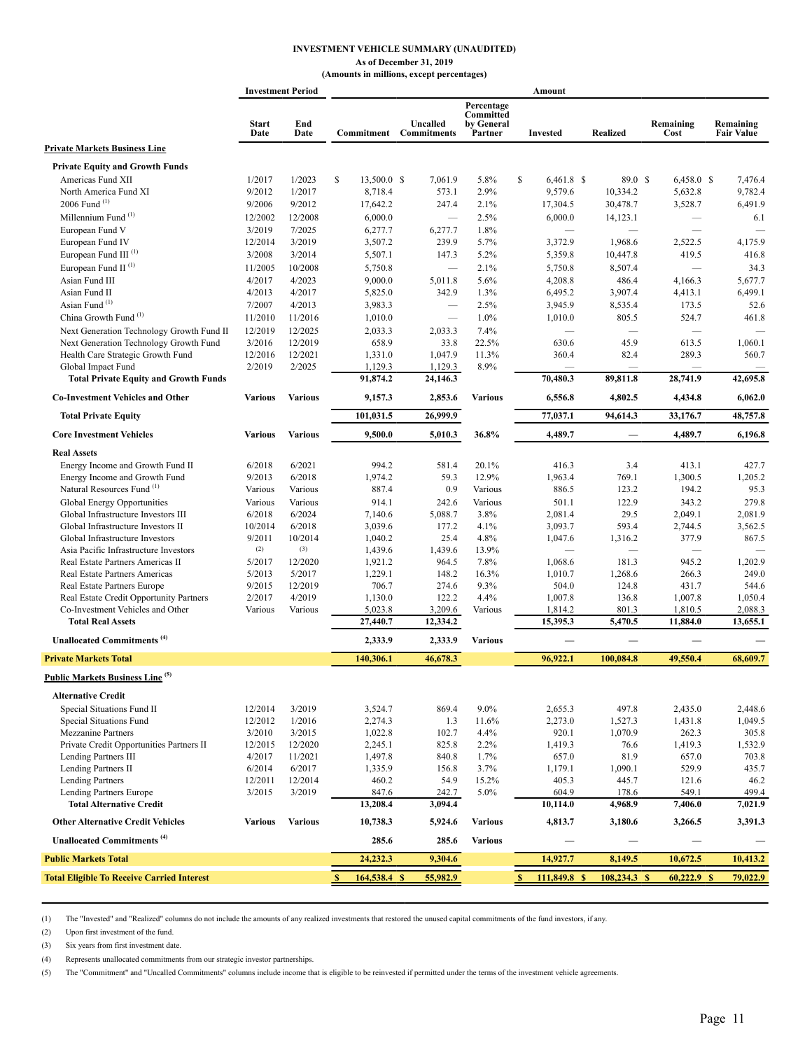### **INVESTMENT VEHICLE SUMMARY (UNAUDITED)**

#### **As of December 31, 2019 (Amounts in millions, except percentages)**

|                                                                        |                      | <b>Investment Period</b> |                    |                                |                                                  | Amount                       |                          |                   |                                |
|------------------------------------------------------------------------|----------------------|--------------------------|--------------------|--------------------------------|--------------------------------------------------|------------------------------|--------------------------|-------------------|--------------------------------|
|                                                                        | <b>Start</b><br>Date | End<br>Date              | Commitment         | Uncalled<br><b>Commitments</b> | Percentage<br>Committed<br>by General<br>Partner | <b>Invested</b>              | <b>Realized</b>          | Remaining<br>Cost | Remaining<br><b>Fair Value</b> |
| <b>Private Markets Business Line</b>                                   |                      |                          |                    |                                |                                                  |                              |                          |                   |                                |
| <b>Private Equity and Growth Funds</b>                                 |                      |                          |                    |                                |                                                  |                              |                          |                   |                                |
| Americas Fund XII                                                      | 1/2017               | 1/2023                   | \$<br>13,500.0 \$  | 7,061.9                        | 5.8%                                             | S<br>$6,461.8$ \$            | 89.0 S                   | $6,458.0$ \$      | 7,476.4                        |
| North America Fund XI                                                  | 9/2012               | 1/2017                   | 8,718.4            | 573.1                          | 2.9%                                             | 9,579.6                      | 10,334.2                 | 5,632.8           | 9,782.4                        |
| 2006 Fund <sup>(1)</sup>                                               | 9/2006               | 9/2012                   | 17,642.2           | 247.4                          | 2.1%                                             | 17,304.5                     | 30,478.7                 | 3,528.7           | 6,491.9                        |
| Millennium Fund <sup>(1)</sup>                                         | 12/2002              | 12/2008                  | 6,000.0            | $\equiv$                       | 2.5%                                             | 6,000.0                      | 14,123.1                 | $\qquad \qquad$   | 6.1                            |
| European Fund V                                                        | 3/2019               | 7/2025                   | 6,277.7            | 6,277.7                        | 1.8%                                             |                              |                          |                   |                                |
| European Fund IV                                                       | 12/2014              | 3/2019                   | 3,507.2            | 239.9                          | 5.7%                                             | 3,372.9                      | 1,968.6                  | 2,522.5           | 4,175.9                        |
| European Fund III <sup>(1)</sup>                                       | 3/2008               | 3/2014                   | 5,507.1            | 147.3                          | 5.2%                                             | 5,359.8                      | 10,447.8                 | 419.5             | 416.8                          |
| European Fund II <sup>(1)</sup>                                        | 11/2005              | 10/2008                  | 5,750.8            | $\qquad \qquad -$              | 2.1%                                             | 5,750.8                      | 8,507.4                  | $\qquad \qquad$   | 34.3                           |
| Asian Fund III                                                         | 4/2017               | 4/2023                   | 9,000.0            | 5,011.8                        | 5.6%                                             | 4,208.8                      | 486.4                    | 4,166.3           | 5,677.7                        |
| Asian Fund II                                                          | 4/2013               | 4/2017                   | 5,825.0            | 342.9                          | 1.3%                                             | 6,495.2                      | 3,907.4                  | 4,413.1           | 6,499.1                        |
| Asian Fund <sup>(1)</sup>                                              | 7/2007               | 4/2013                   | 3,983.3            | $\equiv$                       | 2.5%                                             | 3,945.9                      | 8,535.4                  | 173.5             | 52.6                           |
| China Growth Fund <sup>(1)</sup>                                       | 11/2010              | 11/2016                  | 1,010.0            |                                | 1.0%                                             | 1,010.0                      | 805.5                    | 524.7             | 461.8                          |
| Next Generation Technology Growth Fund II                              | 12/2019              | 12/2025                  | 2,033.3            | 2,033.3                        | 7.4%                                             | $\overline{\phantom{0}}$     | $\overline{\phantom{0}}$ | $\equiv$          |                                |
| Next Generation Technology Growth Fund                                 | 3/2016               | 12/2019                  | 658.9              | 33.8                           | 22.5%                                            | 630.6                        | 45.9                     | 613.5             | 1,060.1                        |
| Health Care Strategic Growth Fund                                      | 12/2016              | 12/2021                  | 1,331.0            | 1,047.9                        | 11.3%                                            | 360.4                        | 82.4                     | 289.3             | 560.7                          |
| Global Impact Fund                                                     | 2/2019               | 2/2025                   | 1,129.3            | 1,129.3                        | 8.9%                                             |                              |                          |                   |                                |
| <b>Total Private Equity and Growth Funds</b>                           |                      |                          | 91,874.2           | 24,146.3                       |                                                  | 70,480.3                     | 89,811.8                 | 28,741.9          | 42,695.8                       |
| <b>Co-Investment Vehicles and Other</b>                                | <b>Various</b>       | <b>Various</b>           | 9,157.3            | 2,853.6                        | <b>Various</b>                                   | 6,556.8                      | 4,802.5                  | 4,434.8           | 6,062.0                        |
| <b>Total Private Equity</b>                                            |                      |                          | 101,031.5          | 26,999.9                       |                                                  | 77,037.1                     | 94,614.3                 | 33,176.7          | 48,757.8                       |
| <b>Core Investment Vehicles</b>                                        | <b>Various</b>       | <b>Various</b>           | 9,500.0            | 5,010.3                        | 36.8%                                            | 4,489.7                      |                          | 4,489.7           | 6,196.8                        |
| <b>Real Assets</b>                                                     |                      |                          |                    |                                |                                                  |                              |                          |                   |                                |
| Energy Income and Growth Fund II                                       | 6/2018               | 6/2021                   | 994.2              | 581.4                          | 20.1%                                            | 416.3                        | 3.4                      | 413.1             | 427.7                          |
| Energy Income and Growth Fund<br>Natural Resources Fund <sup>(1)</sup> | 9/2013<br>Various    | 6/2018<br>Various        | 1,974.2<br>887.4   | 59.3<br>0.9                    | 12.9%<br>Various                                 | 1,963.4<br>886.5             | 769.1<br>123.2           | 1,300.5<br>194.2  | 1,205.2<br>95.3                |
| Global Energy Opportunities                                            | Various              | Various                  | 914.1              | 242.6                          | Various                                          | 501.1                        | 122.9                    | 343.2             | 279.8                          |
| Global Infrastructure Investors III                                    | 6/2018               | 6/2024                   | 7,140.6            | 5,088.7                        | 3.8%                                             | 2,081.4                      | 29.5                     | 2,049.1           | 2,081.9                        |
| Global Infrastructure Investors II                                     | 10/2014              | 6/2018                   | 3,039.6            | 177.2                          | 4.1%                                             | 3,093.7                      | 593.4                    | 2,744.5           | 3,562.5                        |
| Global Infrastructure Investors                                        | 9/2011               | 10/2014                  | 1,040.2            | 25.4                           | 4.8%                                             | 1,047.6                      | 1,316.2                  | 377.9             | 867.5                          |
| Asia Pacific Infrastructure Investors                                  | (2)                  | (3)                      | 1,439.6            | 1,439.6                        | 13.9%                                            | $\equiv$                     |                          | $\equiv$          |                                |
| Real Estate Partners Americas II                                       | 5/2017               | 12/2020                  | 1,921.2            | 964.5                          | 7.8%                                             | 1,068.6                      | 181.3                    | 945.2             | 1,202.9                        |
| Real Estate Partners Americas                                          | 5/2013               | 5/2017                   | 1,229.1            | 148.2                          | 16.3%                                            | 1,010.7                      | 1,268.6                  | 266.3             | 249.0                          |
| Real Estate Partners Europe                                            | 9/2015               | 12/2019                  | 706.7              | 274.6                          | 9.3%                                             | 504.0                        | 124.8                    | 431.7             | 544.6                          |
| Real Estate Credit Opportunity Partners                                | 2/2017               | 4/2019                   | 1,130.0            | 122.2                          | 4.4%                                             | 1,007.8                      | 136.8                    | 1,007.8           | 1,050.4                        |
| Co-Investment Vehicles and Other                                       | Various              | Various                  | 5,023.8            | 3,209.6                        | Various                                          | 1,814.2                      | 801.3                    | 1,810.5           | 2,088.3                        |
| <b>Total Real Assets</b>                                               |                      |                          | 27,440.7           | 12,334.2                       |                                                  | 15,395.3                     | 5,470.5                  | 11,884.0          | 13,655.1                       |
| <b>Unallocated Commitments</b> <sup>(4)</sup>                          |                      |                          | 2,333.9            | 2,333.9                        | <b>Various</b>                                   |                              |                          |                   |                                |
| <b>Private Markets Total</b>                                           |                      |                          | 140,306.1          | 46,678.3                       |                                                  | 96,922.1                     | 100,084.8                | 49,550.4          | 68,609.7                       |
| Public Markets Business Line (5)                                       |                      |                          |                    |                                |                                                  |                              |                          |                   |                                |
| <b>Alternative Credit</b>                                              |                      |                          |                    |                                |                                                  |                              |                          |                   |                                |
| Special Situations Fund II                                             | 12/2014              | 3/2019                   | 3,524.7            | 869.4                          | 9.0%                                             | 2,655.3                      | 497.8                    | 2,435.0           | 2,448.6                        |
| Special Situations Fund<br><b>Mezzanine Partners</b>                   | 12/2012<br>3/2010    | 1/2016<br>3/2015         | 2,274.3<br>1,022.8 | 1.3<br>102.7                   | 11.6%<br>4.4%                                    | 2,273.0<br>920.1             | 1,527.3<br>1,070.9       | 1,431.8<br>262.3  | 1,049.5<br>305.8               |
| Private Credit Opportunities Partners II                               | 12/2015              | 12/2020                  | 2,245.1            | 825.8                          | 2.2%                                             | 1,419.3                      | 76.6                     | 1,419.3           | 1,532.9                        |
| Lending Partners III                                                   | 4/2017               | 11/2021                  | 1,497.8            | 840.8                          | 1.7%                                             | 657.0                        | 81.9                     | 657.0             | 703.8                          |
| Lending Partners II                                                    | 6/2014               | 6/2017                   | 1,335.9            | 156.8                          | 3.7%                                             | 1,179.1                      | 1,090.1                  | 529.9             | 435.7                          |
| <b>Lending Partners</b>                                                | 12/2011              | 12/2014                  | 460.2              | 54.9                           | 15.2%                                            | 405.3                        | 445.7                    | 121.6             | 46.2                           |
| Lending Partners Europe                                                | 3/2015               | 3/2019                   | 847.6              | 242.7                          | 5.0%                                             | 604.9                        | 178.6                    | 549.1             | 499.4                          |
| <b>Total Alternative Credit</b>                                        |                      |                          | 13,208.4           | 3,094.4                        |                                                  | 10,114.0                     | 4,968.9                  | 7,406.0           | 7,021.9                        |
| <b>Other Alternative Credit Vehicles</b>                               | <b>Various</b>       | <b>Various</b>           | 10,738.3           | 5,924.6                        | <b>Various</b>                                   | 4,813.7                      | 3,180.6                  | 3,266.5           | 3,391.3                        |
| <b>Unallocated Commitments<sup>(4)</sup></b>                           |                      |                          | 285.6              | 285.6                          | <b>Various</b>                                   |                              |                          |                   |                                |
| <b>Public Markets Total</b>                                            |                      |                          | 24,232.3           | 9,304.6                        |                                                  | 14,927.7                     | 8,149.5                  | 10,672.5          | 10,413.2                       |
| <b>Total Eligible To Receive Carried Interest</b>                      |                      |                          | 164,538.4 \$<br>S  | 55,982.9                       |                                                  | 111,849.8 \$<br>$\mathbf{s}$ | 108,234.3 \$             | $60,222.9$ \$     | 79,022.9                       |

(1) The "Invested" and "Realized" columns do not include the amounts of any realized investments that restored the unused capital commitments of the fund investors, if any.

(2) Upon first investment of the fund.

(3) Six years from first investment date.

(4) Represents unallocated commitments from our strategic investor partnerships.

(5) The "Commitment" and "Uncalled Commitments" columns include income that is eligible to be reinvested if permitted under the terms of the investment vehicle agreements.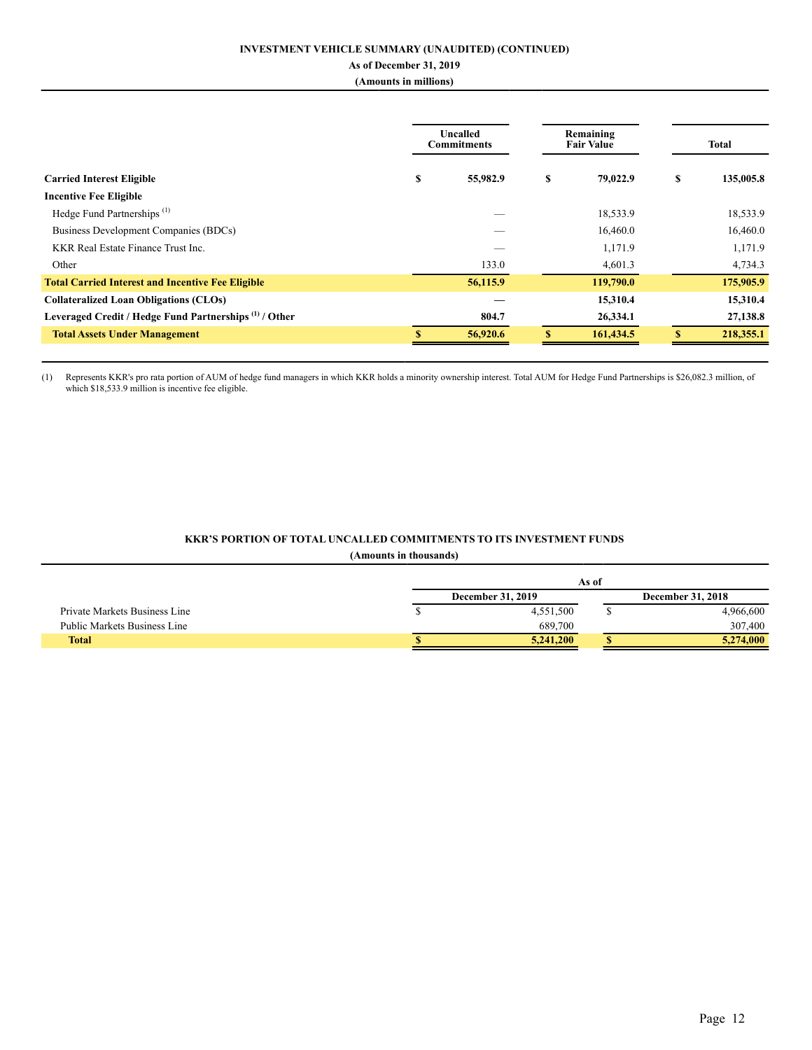### **INVESTMENT VEHICLE SUMMARY (UNAUDITED) (CONTINUED)**

# **As of December 31, 2019**

# **(Amounts in millions)**

|                                                                   |   | Uncalled<br><b>Commitments</b> | Remaining<br><b>Fair Value</b> |   | <b>Total</b> |
|-------------------------------------------------------------------|---|--------------------------------|--------------------------------|---|--------------|
| <b>Carried Interest Eligible</b>                                  | S | 55,982.9                       | \$<br>79,022.9                 | S | 135,005.8    |
| <b>Incentive Fee Eligible</b>                                     |   |                                |                                |   |              |
| Hedge Fund Partnerships <sup>(1)</sup>                            |   |                                | 18,533.9                       |   | 18,533.9     |
| Business Development Companies (BDCs)                             |   |                                | 16,460.0                       |   | 16,460.0     |
| KKR Real Estate Finance Trust Inc.                                |   |                                | 1,171.9                        |   | 1,171.9      |
| Other                                                             |   | 133.0                          | 4,601.3                        |   | 4,734.3      |
| <b>Total Carried Interest and Incentive Fee Eligible</b>          |   | 56,115.9                       | 119,790.0                      |   | 175,905.9    |
| <b>Collateralized Loan Obligations (CLOs)</b>                     |   |                                | 15,310.4                       |   | 15,310.4     |
| Leveraged Credit / Hedge Fund Partnerships <sup>(1)</sup> / Other |   | 804.7                          | 26,334.1                       |   | 27,138.8     |
| <b>Total Assets Under Management</b>                              |   | 56,920.6                       | 161,434.5                      |   | 218,355.1    |

(1) Represents KKR's pro rata portion of AUM of hedge fund managers in which KKR holds a minority ownership interest. Total AUM for Hedge Fund Partnerships is \$26,082.3 million, of which \$18,533.9 million is incentive fee eligible.

### **KKR'S PORTION OF TOTAL UNCALLED COMMITMENTS TO ITS INVESTMENT FUNDS**

### **(Amounts in thousands)**

|                               | As of                    |  |                          |  |  |  |  |
|-------------------------------|--------------------------|--|--------------------------|--|--|--|--|
|                               | <b>December 31, 2019</b> |  | <b>December 31, 2018</b> |  |  |  |  |
| Private Markets Business Line | 4,551,500                |  | 4,966,600                |  |  |  |  |
| Public Markets Business Line  | 689,700                  |  | 307,400                  |  |  |  |  |
| <b>Total</b>                  | 5.241.200                |  | 5,274,000                |  |  |  |  |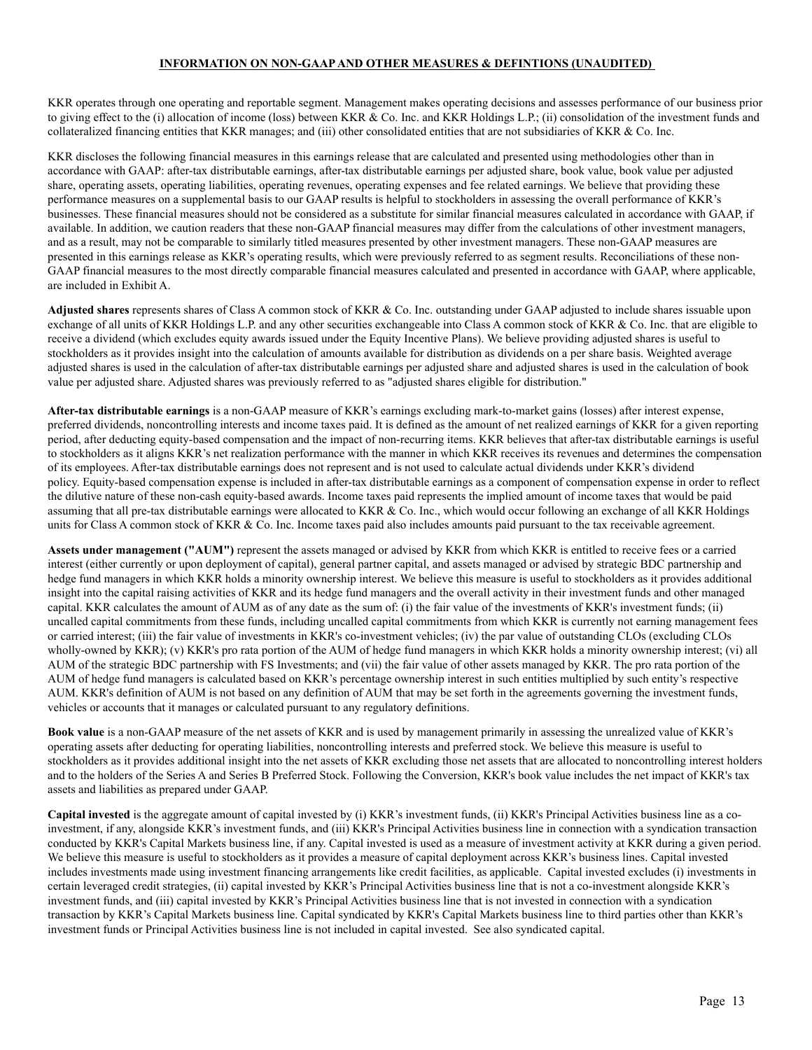### **INFORMATION ON NON-GAAPAND OTHER MEASURES & DEFINTIONS (UNAUDITED)**

KKR operates through one operating and reportable segment. Management makes operating decisions and assesses performance of our business prior to giving effect to the (i) allocation of income (loss) between KKR & Co. Inc. and KKR Holdings L.P.; (ii) consolidation of the investment funds and collateralized financing entities that KKR manages; and (iii) other consolidated entities that are not subsidiaries of KKR & Co. Inc.

KKR discloses the following financial measures in this earnings release that are calculated and presented using methodologies other than in accordance with GAAP: after-tax distributable earnings, after-tax distributable earnings per adjusted share, book value, book value per adjusted share, operating assets, operating liabilities, operating revenues, operating expenses and fee related earnings. We believe that providing these performance measures on a supplemental basis to our GAAP results is helpful to stockholders in assessing the overall performance of KKR's businesses. These financial measures should not be considered as a substitute for similar financial measures calculated in accordance with GAAP, if available. In addition, we caution readers that these non-GAAP financial measures may differ from the calculations of other investment managers, and as a result, may not be comparable to similarly titled measures presented by other investment managers. These non-GAAP measures are presented in this earnings release as KKR's operating results, which were previously referred to as segment results. Reconciliations of these non-GAAP financial measures to the most directly comparable financial measures calculated and presented in accordance with GAAP, where applicable, are included in Exhibit A.

**Adjusted shares** represents shares of Class A common stock of KKR & Co. Inc. outstanding under GAAP adjusted to include shares issuable upon exchange of all units of KKR Holdings L.P. and any other securities exchangeable into Class A common stock of KKR & Co. Inc. that are eligible to receive a dividend (which excludes equity awards issued under the Equity Incentive Plans). We believe providing adjusted shares is useful to stockholders as it provides insight into the calculation of amounts available for distribution as dividends on a per share basis. Weighted average adjusted shares is used in the calculation of after-tax distributable earnings per adjusted share and adjusted shares is used in the calculation of book value per adjusted share. Adjusted shares was previously referred to as "adjusted shares eligible for distribution."

**After-tax distributable earnings** is a non-GAAP measure of KKR's earnings excluding mark-to-market gains (losses) after interest expense, preferred dividends, noncontrolling interests and income taxes paid. It is defined as the amount of net realized earnings of KKR for a given reporting period, after deducting equity-based compensation and the impact of non-recurring items. KKR believes that after-tax distributable earnings is useful to stockholders as it aligns KKR's net realization performance with the manner in which KKR receives its revenues and determines the compensation of its employees. After-tax distributable earnings does not represent and is not used to calculate actual dividends under KKR's dividend policy. Equity-based compensation expense is included in after-tax distributable earnings as a component of compensation expense in order to reflect the dilutive nature of these non-cash equity-based awards. Income taxes paid represents the implied amount of income taxes that would be paid assuming that all pre-tax distributable earnings were allocated to KKR & Co. Inc., which would occur following an exchange of all KKR Holdings units for Class A common stock of KKR  $& Co.$  Inc. Income taxes paid also includes amounts paid pursuant to the tax receivable agreement.

**Assets under management ("AUM")** represent the assets managed or advised by KKR from which KKR is entitled to receive fees or a carried interest (either currently or upon deployment of capital), general partner capital, and assets managed or advised by strategic BDC partnership and hedge fund managers in which KKR holds a minority ownership interest. We believe this measure is useful to stockholders as it provides additional insight into the capital raising activities of KKR and its hedge fund managers and the overall activity in their investment funds and other managed capital. KKR calculates the amount of AUM as of any date as the sum of: (i) the fair value of the investments of KKR's investment funds; (ii) uncalled capital commitments from these funds, including uncalled capital commitments from which KKR is currently not earning management fees or carried interest; (iii) the fair value of investments in KKR's co-investment vehicles; (iv) the par value of outstanding CLOs (excluding CLOs wholly-owned by KKR); (v) KKR's pro rata portion of the AUM of hedge fund managers in which KKR holds a minority ownership interest; (vi) all AUM of the strategic BDC partnership with FS Investments; and (vii) the fair value of other assets managed by KKR. The pro rata portion of the AUM of hedge fund managers is calculated based on KKR's percentage ownership interest in such entities multiplied by such entity's respective AUM. KKR's definition of AUM is not based on any definition of AUM that may be set forth in the agreements governing the investment funds, vehicles or accounts that it manages or calculated pursuant to any regulatory definitions.

**Book value** is a non-GAAP measure of the net assets of KKR and is used by management primarily in assessing the unrealized value of KKR's operating assets after deducting for operating liabilities, noncontrolling interests and preferred stock. We believe this measure is useful to stockholders as it provides additional insight into the net assets of KKR excluding those net assets that are allocated to noncontrolling interest holders and to the holders of the Series A and Series B Preferred Stock. Following the Conversion, KKR's book value includes the net impact of KKR's tax assets and liabilities as prepared under GAAP.

**Capital invested** is the aggregate amount of capital invested by (i) KKR's investment funds, (ii) KKR's Principal Activities business line as a coinvestment, if any, alongside KKR's investment funds, and (iii) KKR's Principal Activities business line in connection with a syndication transaction conducted by KKR's Capital Markets business line, if any. Capital invested is used as a measure of investment activity at KKR during a given period. We believe this measure is useful to stockholders as it provides a measure of capital deployment across KKR's business lines. Capital invested includes investments made using investment financing arrangements like credit facilities, as applicable. Capital invested excludes (i) investments in certain leveraged credit strategies, (ii) capital invested by KKR's Principal Activities business line that is not a co-investment alongside KKR's investment funds, and (iii) capital invested by KKR's Principal Activities business line that is not invested in connection with a syndication transaction by KKR's Capital Markets business line. Capital syndicated by KKR's Capital Markets business line to third parties other than KKR's investment funds or Principal Activities business line is not included in capital invested. See also syndicated capital.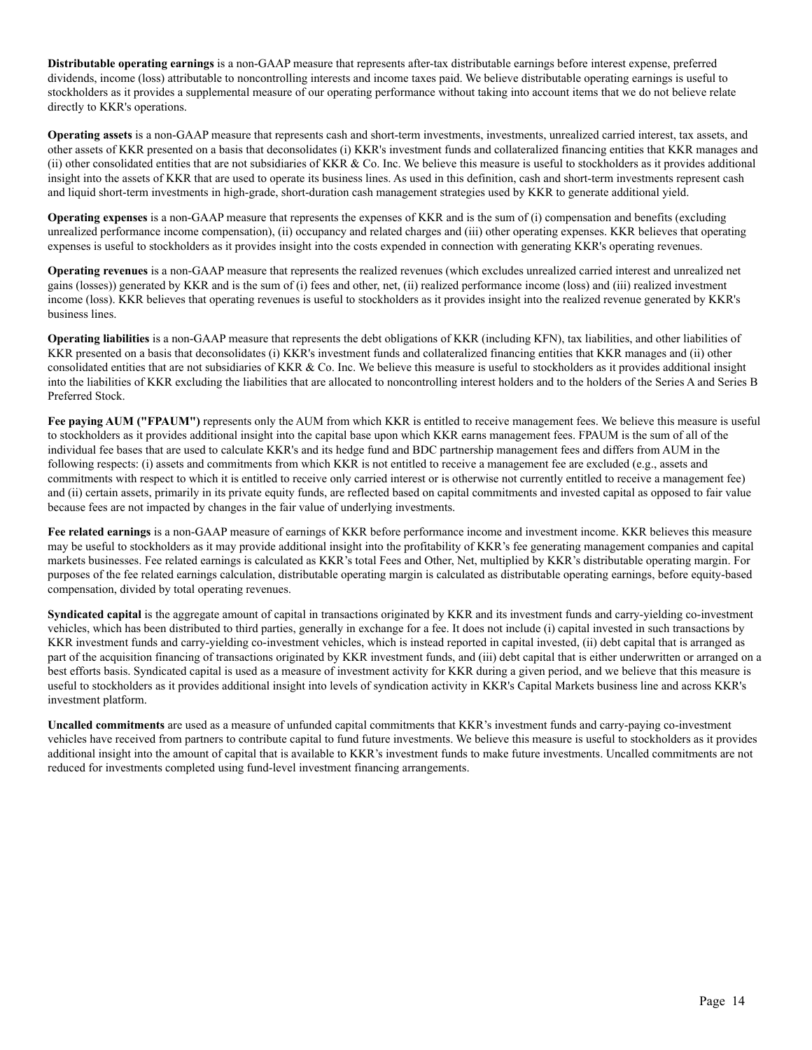**Distributable operating earnings** is a non-GAAP measure that represents after-tax distributable earnings before interest expense, preferred dividends, income (loss) attributable to noncontrolling interests and income taxes paid. We believe distributable operating earnings is useful to stockholders as it provides a supplemental measure of our operating performance without taking into account items that we do not believe relate directly to KKR's operations.

**Operating assets** is a non-GAAP measure that represents cash and short-term investments, investments, unrealized carried interest, tax assets, and other assets of KKR presented on a basis that deconsolidates (i) KKR's investment funds and collateralized financing entities that KKR manages and (ii) other consolidated entities that are not subsidiaries of KKR  $\&$  Co. Inc. We believe this measure is useful to stockholders as it provides additional insight into the assets of KKR that are used to operate its business lines. As used in this definition, cash and short-term investments represent cash and liquid short-term investments in high-grade, short-duration cash management strategies used by KKR to generate additional yield.

**Operating expenses** is a non-GAAP measure that represents the expenses of KKR and is the sum of (i) compensation and benefits (excluding unrealized performance income compensation), (ii) occupancy and related charges and (iii) other operating expenses. KKR believes that operating expenses is useful to stockholders as it provides insight into the costs expended in connection with generating KKR's operating revenues.

**Operating revenues** is a non-GAAP measure that represents the realized revenues (which excludes unrealized carried interest and unrealized net gains (losses)) generated by KKR and is the sum of (i) fees and other, net, (ii) realized performance income (loss) and (iii) realized investment income (loss). KKR believes that operating revenues is useful to stockholders as it provides insight into the realized revenue generated by KKR's business lines.

**Operating liabilities** is a non-GAAP measure that represents the debt obligations of KKR (including KFN), tax liabilities, and other liabilities of KKR presented on a basis that deconsolidates (i) KKR's investment funds and collateralized financing entities that KKR manages and (ii) other consolidated entities that are not subsidiaries of KKR  $& Co$ . Inc. We believe this measure is useful to stockholders as it provides additional insight into the liabilities of KKR excluding the liabilities that are allocated to noncontrolling interest holders and to the holders of the Series A and Series B Preferred Stock.

**Fee paying AUM ("FPAUM")** represents only the AUM from which KKR is entitled to receive management fees. We believe this measure is useful to stockholders as it provides additional insight into the capital base upon which KKR earns management fees. FPAUM is the sum of all of the individual fee bases that are used to calculate KKR's and its hedge fund and BDC partnership management fees and differs from AUM in the following respects: (i) assets and commitments from which KKR is not entitled to receive a management fee are excluded (e.g., assets and commitments with respect to which it is entitled to receive only carried interest or is otherwise not currently entitled to receive a management fee) and (ii) certain assets, primarily in its private equity funds, are reflected based on capital commitments and invested capital as opposed to fair value because fees are not impacted by changes in the fair value of underlying investments.

**Fee related earnings** is a non-GAAP measure of earnings of KKR before performance income and investment income. KKR believes this measure may be useful to stockholders as it may provide additional insight into the profitability of KKR's fee generating management companies and capital markets businesses. Fee related earnings is calculated as KKR's total Fees and Other, Net, multiplied by KKR's distributable operating margin. For purposes of the fee related earnings calculation, distributable operating margin is calculated as distributable operating earnings, before equity-based compensation, divided by total operating revenues.

**Syndicated capital** is the aggregate amount of capital in transactions originated by KKR and its investment funds and carry-yielding co-investment vehicles, which has been distributed to third parties, generally in exchange for a fee. It does not include (i) capital invested in such transactions by KKR investment funds and carry-yielding co-investment vehicles, which is instead reported in capital invested, (ii) debt capital that is arranged as part of the acquisition financing of transactions originated by KKR investment funds, and (iii) debt capital that is either underwritten or arranged on a best efforts basis. Syndicated capital is used as a measure of investment activity for KKR during a given period, and we believe that this measure is useful to stockholders as it provides additional insight into levels of syndication activity in KKR's Capital Markets business line and across KKR's investment platform.

**Uncalled commitments** are used as a measure of unfunded capital commitments that KKR's investment funds and carry-paying co-investment vehicles have received from partners to contribute capital to fund future investments. We believe this measure is useful to stockholders as it provides additional insight into the amount of capital that is available to KKR's investment funds to make future investments. Uncalled commitments are not reduced for investments completed using fund-level investment financing arrangements.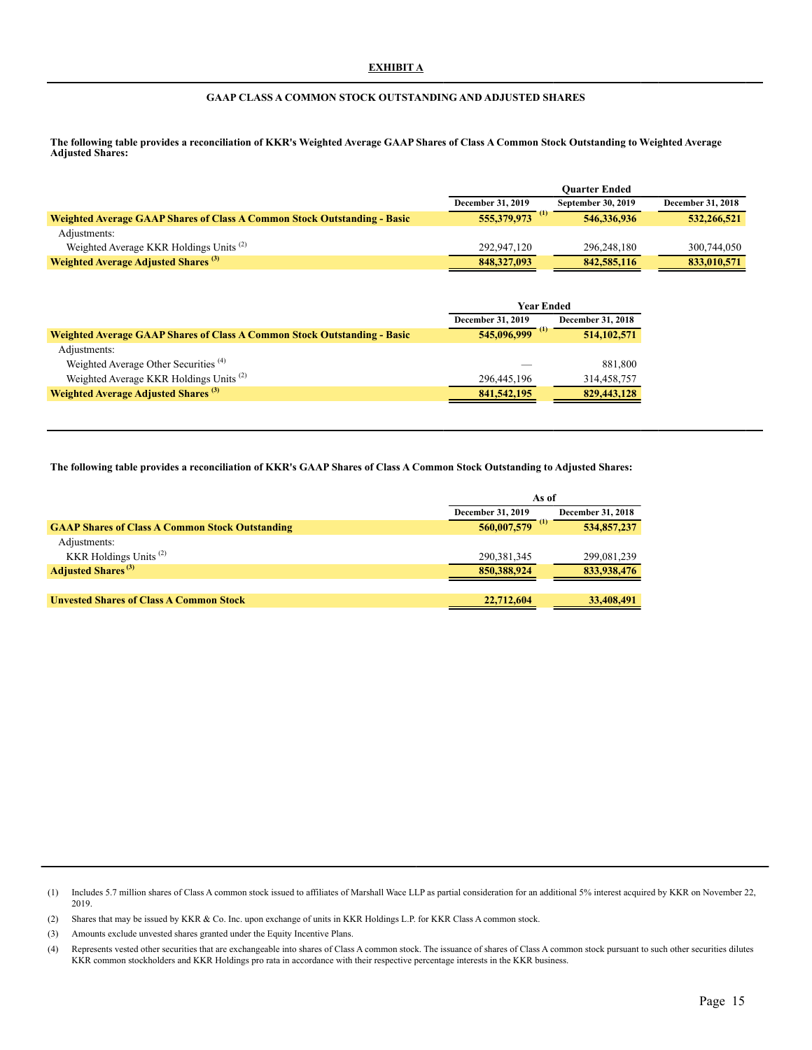### **GAAP CLASS A COMMON STOCK OUTSTANDING AND ADJUSTED SHARES**

**The following table provides a reconciliation of KKR's Weighted Average GAAP Shares of Class A Common Stock Outstanding to Weighted Average Adjusted Shares:**

|                                                                                 |                          | <b>Ouarter Ended</b> |                          |
|---------------------------------------------------------------------------------|--------------------------|----------------------|--------------------------|
|                                                                                 | <b>December 31, 2019</b> | September 30, 2019   | <b>December 31, 2018</b> |
| <b>Weighted Average GAAP Shares of Class A Common Stock Outstanding - Basic</b> | $\bf{u}$<br>555,379,973  | 546,336,936          | 532,266,521              |
| Adjustments:                                                                    |                          |                      |                          |
| Weighted Average KKR Holdings Units <sup>(2)</sup>                              | 292,947,120              | 296.248.180          | 300.744.050              |
| <b>Weighted Average Adjusted Shares</b> <sup>(3)</sup>                          | 848, 327, 093            | 842,585,116          | 833,010,571              |

|                                                                                 | <b>Year Ended</b>                                    |               |  |
|---------------------------------------------------------------------------------|------------------------------------------------------|---------------|--|
|                                                                                 | <b>December 31, 2018</b><br><b>December 31, 2019</b> |               |  |
| <b>Weighted Average GAAP Shares of Class A Common Stock Outstanding - Basic</b> | $545,096,999$ <sup>(1)</sup>                         | 514, 102, 571 |  |
| Adjustments:                                                                    |                                                      |               |  |
| Weighted Average Other Securities <sup>(4)</sup>                                |                                                      | 881,800       |  |
| Weighted Average KKR Holdings Units <sup>(2)</sup>                              | 296.445.196                                          | 314,458,757   |  |
| <b>Weighted Average Adjusted Shares (3)</b>                                     | 841, 542, 195                                        | 829,443,128   |  |

**The following table provides a reconciliation of KKR's GAAP Shares of Class A Common Stock Outstanding to Adjusted Shares:**

|                                                        | As of                        |                          |  |  |
|--------------------------------------------------------|------------------------------|--------------------------|--|--|
|                                                        | <b>December 31, 2019</b>     | <b>December 31, 2018</b> |  |  |
| <b>GAAP Shares of Class A Common Stock Outstanding</b> | $560,007,579$ <sup>(1)</sup> | 534,857,237              |  |  |
| Adjustments:                                           |                              |                          |  |  |
| KKR Holdings Units <sup>(2)</sup>                      | 290, 381, 345                | 299,081,239              |  |  |
| <b>Adjusted Shares</b> <sup>(3)</sup>                  | 850,388,924                  | 833,938,476              |  |  |
|                                                        |                              |                          |  |  |
| <b>Unvested Shares of Class A Common Stock</b>         | 22,712,604                   | 33,408,491               |  |  |

(1) Includes 5.7 million shares of Class A common stock issued to affiliates of Marshall Wace LLP as partial consideration for an additional 5% interest acquired by KKR on November 22, 2019.

(2) Shares that may be issued by KKR & Co. Inc. upon exchange of units in KKR Holdings L.P. for KKR Class A common stock.

(3) Amounts exclude unvested shares granted under the Equity Incentive Plans.

(4) Represents vested other securities that are exchangeable into shares of Class A common stock. The issuance of shares of Class A common stock pursuant to such other securities dilutes KKR common stockholders and KKR Holdings pro rata in accordance with their respective percentage interests in the KKR business.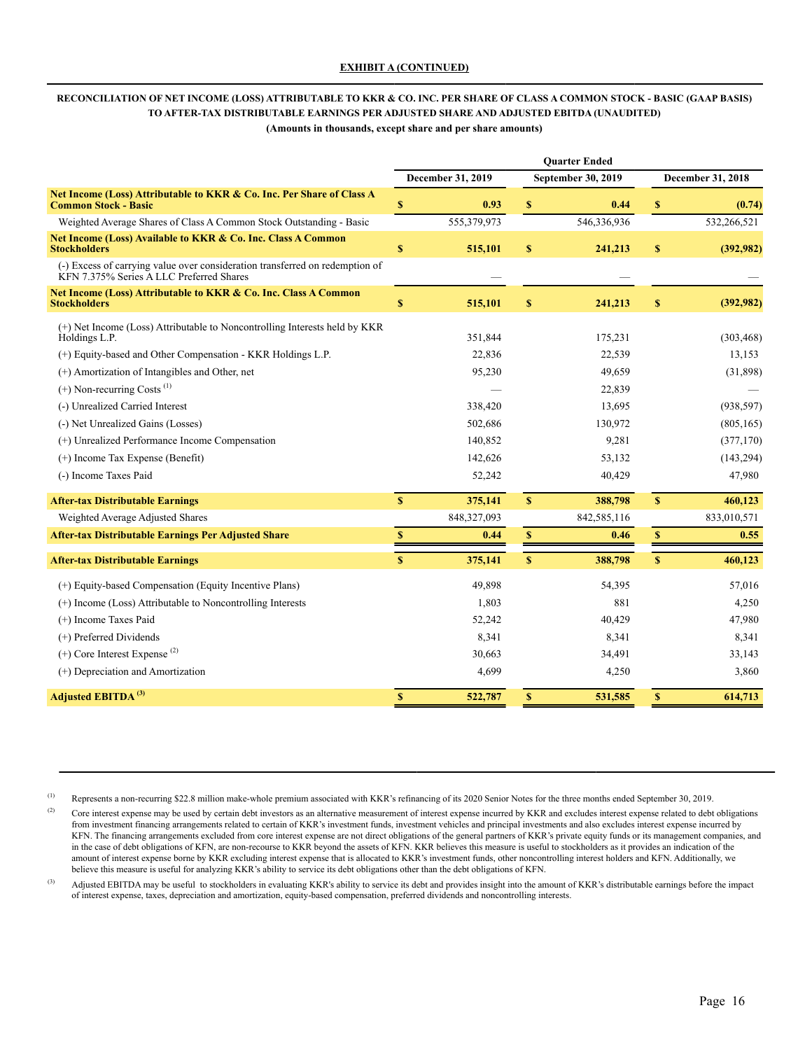# **RECONCILIATION OF NET INCOME (LOSS) ATTRIBUTABLE TO KKR & CO. INC. PER SHARE OF CLASS A COMMON STOCK - BASIC (GAAP BASIS) TO AFTER-TAX DISTRIBUTABLE EARNINGS PER ADJUSTED SHARE AND ADJUSTED EBITDA (UNAUDITED)**

**(Amounts in thousands, except share and per share amounts)**

|                                                                                                                       | <b>Ouarter Ended</b>      |                   |                    |                           |              |                   |
|-----------------------------------------------------------------------------------------------------------------------|---------------------------|-------------------|--------------------|---------------------------|--------------|-------------------|
|                                                                                                                       |                           | December 31, 2019 |                    | <b>September 30, 2019</b> |              | December 31, 2018 |
| Net Income (Loss) Attributable to KKR & Co. Inc. Per Share of Class A<br><b>Common Stock - Basic</b>                  | $\boldsymbol{\mathsf{S}}$ | 0.93              | $\boldsymbol{s}$   | 0.44                      | $\mathbf{s}$ | (0.74)            |
| Weighted Average Shares of Class A Common Stock Outstanding - Basic                                                   |                           | 555,379,973       |                    | 546,336,936               |              | 532,266,521       |
| Net Income (Loss) Available to KKR & Co. Inc. Class A Common<br><b>Stockholders</b>                                   | $\mathbf S$               | 515,101           | $\boldsymbol{s}$   | 241,213                   | \$           | (392,982)         |
| (-) Excess of carrying value over consideration transferred on redemption of KFN 7.375% Series A LLC Preferred Shares |                           |                   |                    |                           |              |                   |
| Net Income (Loss) Attributable to KKR & Co. Inc. Class A Common<br><b>Stockholders</b>                                | $\mathbf S$               | 515,101           | \$                 | 241,213                   | \$           | (392,982)         |
| (+) Net Income (Loss) Attributable to Noncontrolling Interests held by KKR<br>Holdings L.P.                           |                           | 351,844           |                    | 175,231                   |              | (303, 468)        |
| (+) Equity-based and Other Compensation - KKR Holdings L.P.                                                           |                           | 22,836            |                    | 22,539                    |              | 13,153            |
| (+) Amortization of Intangibles and Other, net                                                                        |                           | 95,230            |                    | 49,659                    |              | (31,898)          |
| $(+)$ Non-recurring Costs <sup><math>(1)</math></sup>                                                                 |                           |                   |                    | 22,839                    |              |                   |
| (-) Unrealized Carried Interest                                                                                       |                           | 338,420           |                    | 13,695                    |              | (938, 597)        |
| (-) Net Unrealized Gains (Losses)                                                                                     |                           | 502,686           |                    | 130,972                   |              | (805, 165)        |
| (+) Unrealized Performance Income Compensation                                                                        |                           | 140,852           |                    | 9,281                     |              | (377, 170)        |
| $(+)$ Income Tax Expense (Benefit)                                                                                    |                           | 142,626           |                    | 53,132                    |              | (143, 294)        |
| (-) Income Taxes Paid                                                                                                 |                           | 52,242            |                    | 40,429                    |              | 47,980            |
| <b>After-tax Distributable Earnings</b>                                                                               | $\mathbf S$               | 375,141           | $\mathbf S$        | 388,798                   | S            | 460,123           |
| Weighted Average Adjusted Shares                                                                                      |                           | 848,327,093       |                    | 842,585,116               |              | 833,010,571       |
| <b>After-tax Distributable Earnings Per Adjusted Share</b>                                                            | $\boldsymbol{\mathsf{S}}$ | 0.44              | $\pmb{\mathbb{S}}$ | 0.46                      | $\mathbb{S}$ | 0.55              |
| <b>After-tax Distributable Earnings</b>                                                                               | $\mathbf S$               | 375,141           | $\mathbf S$        | 388,798                   | $\mathbf{s}$ | 460,123           |
| (+) Equity-based Compensation (Equity Incentive Plans)                                                                |                           | 49,898            |                    | 54,395                    |              | 57,016            |
| (+) Income (Loss) Attributable to Noncontrolling Interests                                                            |                           | 1,803             |                    | 881                       |              | 4,250             |
| (+) Income Taxes Paid                                                                                                 |                           | 52,242            |                    | 40,429                    |              | 47,980            |
| (+) Preferred Dividends                                                                                               |                           | 8,341             |                    | 8,341                     |              | 8,341             |
| $(+)$ Core Interest Expense <sup>(2)</sup>                                                                            |                           | 30,663            |                    | 34,491                    |              | 33,143            |
| (+) Depreciation and Amortization                                                                                     |                           | 4,699             |                    | 4,250                     |              | 3,860             |
| Adjusted EBITDA <sup>(3)</sup>                                                                                        | $\mathbf S$               | 522,787           | $\mathbf S$        | 531,585                   | S            | 614,713           |

(1) Represents a non-recurring \$22.8 million make-whole premium associated with KKR's refinancing of its 2020 Senior Notes for the three months ended September 30, 2019.

<sup>(2)</sup> Core interest expense may be used by certain debt investors as an alternative measurement of interest expense incurred by KKR and excludes interest expense related to debt obligations from investment financing arrangements related to certain of KKR's investment funds, investment vehicles and principal investments and also excludes interest expense incurred by KFN. The financing arrangements excluded from core interest expense are not direct obligations of the general partners of KKR's private equity funds or its management companies, and in the case of debt obligations of KFN, are non-recourse to KKR beyond the assets of KFN. KKR believes this measure is useful to stockholders as it provides an indication of the amount of interest expense borne by KKR excluding interest expense that is allocated to KKR's investment funds, other noncontrolling interest holders and KFN. Additionally, we believe this measure is useful for analyzing KKR's ability to service its debt obligations other than the debt obligations of KFN.

<sup>(3)</sup> Adjusted EBITDA may be useful to stockholders in evaluating KKR's ability to service its debt and provides insight into the amount of KKR's distributable earnings before the impact of interest expense, taxes, depreciation and amortization, equity-based compensation, preferred dividends and noncontrolling interests.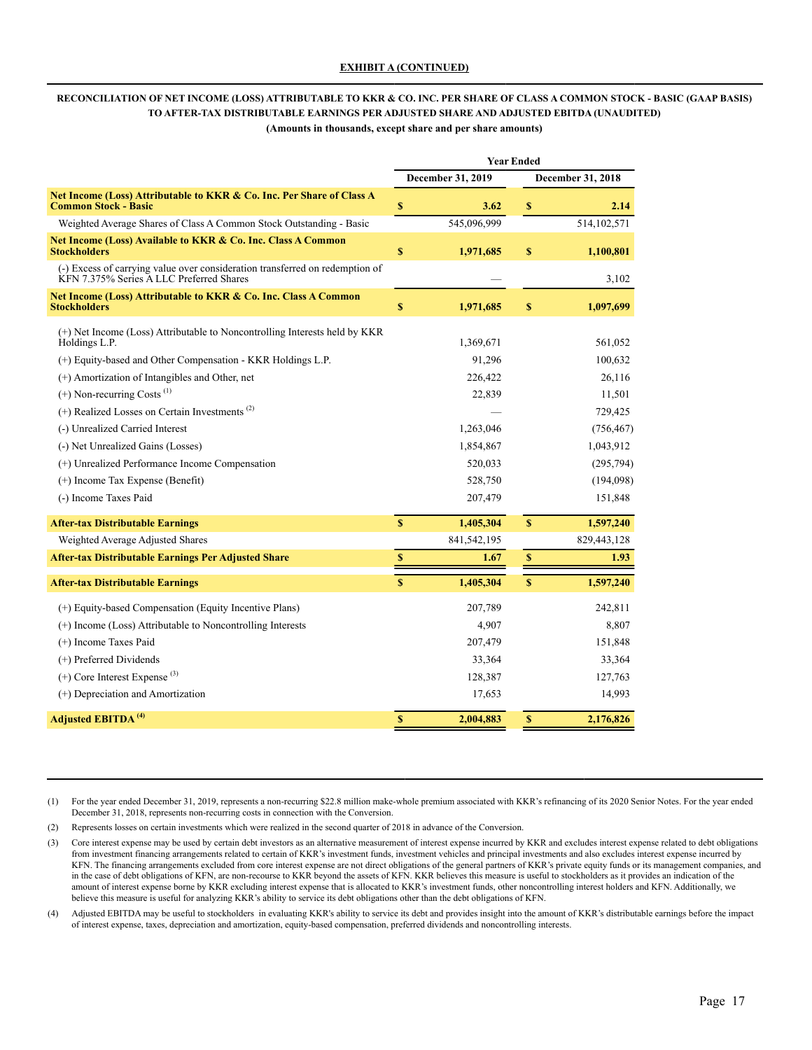# **RECONCILIATION OF NET INCOME (LOSS) ATTRIBUTABLE TO KKR & CO. INC. PER SHARE OF CLASS A COMMON STOCK - BASIC (GAAP BASIS) TO AFTER-TAX DISTRIBUTABLE EARNINGS PER ADJUSTED SHARE AND ADJUSTED EBITDA (UNAUDITED)**

**(Amounts in thousands, except share and per share amounts)**

|                                                                                                                                                            | <b>Year Ended</b> |                          |              |                    |  |  |
|------------------------------------------------------------------------------------------------------------------------------------------------------------|-------------------|--------------------------|--------------|--------------------|--|--|
|                                                                                                                                                            |                   | <b>December 31, 2019</b> |              | December 31, 2018  |  |  |
| Net Income (Loss) Attributable to KKR & Co. Inc. Per Share of Class A<br><b>Common Stock - Basic</b>                                                       | \$                | 3.62                     | \$           | 2.14               |  |  |
| Weighted Average Shares of Class A Common Stock Outstanding - Basic                                                                                        |                   | 545.096.999              |              | 514, 102, 571      |  |  |
| Net Income (Loss) Available to KKR & Co. Inc. Class A Common<br><b>Stockholders</b>                                                                        | \$                | 1,971,685                | \$           | 1,100,801          |  |  |
| (-) Excess of carrying value over consideration transferred on redemption of<br>KFN 7.375% Series A LLC Preferred Shares                                   |                   |                          |              | 3,102              |  |  |
| Net Income (Loss) Attributable to KKR & Co. Inc. Class A Common<br><b>Stockholders</b>                                                                     | \$                | 1,971,685                | \$           | 1,097,699          |  |  |
| (+) Net Income (Loss) Attributable to Noncontrolling Interests held by KKR<br>Holdings L.P.<br>(+) Equity-based and Other Compensation - KKR Holdings L.P. |                   | 1,369,671<br>91,296      |              | 561,052<br>100,632 |  |  |
| (+) Amortization of Intangibles and Other, net                                                                                                             |                   | 226,422                  |              | 26,116             |  |  |
| $(+)$ Non-recurring Costs <sup><math>(1)</math></sup>                                                                                                      |                   | 22,839                   |              | 11,501             |  |  |
| $(+)$ Realized Losses on Certain Investments <sup>(2)</sup>                                                                                                |                   |                          |              | 729,425            |  |  |
| (-) Unrealized Carried Interest                                                                                                                            |                   | 1,263,046                |              | (756, 467)         |  |  |
| (-) Net Unrealized Gains (Losses)                                                                                                                          |                   | 1,854,867                |              | 1,043,912          |  |  |
| (+) Unrealized Performance Income Compensation                                                                                                             |                   | 520,033                  |              | (295, 794)         |  |  |
| $(+)$ Income Tax Expense (Benefit)                                                                                                                         |                   | 528,750                  |              | (194,098)          |  |  |
| (-) Income Taxes Paid                                                                                                                                      |                   | 207,479                  |              | 151,848            |  |  |
| <b>After-tax Distributable Earnings</b>                                                                                                                    | $\mathbf S$       | 1,405,304                | $\mathbf{s}$ | 1,597,240          |  |  |
| Weighted Average Adjusted Shares                                                                                                                           |                   | 841,542,195              |              | 829,443,128        |  |  |
| <b>After-tax Distributable Earnings Per Adjusted Share</b>                                                                                                 | \$                | 1.67                     | $\mathbb S$  | 1.93               |  |  |
| <b>After-tax Distributable Earnings</b>                                                                                                                    | $\mathbf S$       | 1,405,304                | $\mathbf S$  | 1,597,240          |  |  |
| (+) Equity-based Compensation (Equity Incentive Plans)                                                                                                     |                   | 207,789                  |              | 242,811            |  |  |
| (+) Income (Loss) Attributable to Noncontrolling Interests                                                                                                 |                   | 4,907                    |              | 8,807              |  |  |
| (+) Income Taxes Paid                                                                                                                                      |                   | 207,479                  |              | 151,848            |  |  |
| (+) Preferred Dividends                                                                                                                                    |                   | 33,364                   |              | 33,364             |  |  |
| $(+)$ Core Interest Expense <sup>(3)</sup>                                                                                                                 |                   | 128,387                  |              | 127,763            |  |  |
| (+) Depreciation and Amortization                                                                                                                          |                   | 17,653                   |              | 14,993             |  |  |
| <b>Adjusted EBITDA<sup>(4)</sup></b>                                                                                                                       | S                 | 2,004,883                | $\mathbf{s}$ | 2,176,826          |  |  |

(1) For the year ended December 31, 2019, represents a non-recurring \$22.8 million make-whole premium associated with KKR's refinancing of its 2020 Senior Notes. For the year ended December 31, 2018, represents non-recurring costs in connection with the Conversion.

(2) Represents losses on certain investments which were realized in the second quarter of 2018 in advance of the Conversion.

(3) Core interest expense may be used by certain debt investors as an alternative measurement of interest expense incurred by KKR and excludes interest expense related to debt obligations from investment financing arrangements related to certain of KKR's investment funds, investment vehicles and principal investments and also excludes interest expense incurred by KFN. The financing arrangements excluded from core interest expense are not direct obligations of the general partners of KKR's private equity funds or its management companies, and in the case of debt obligations of KFN, are non-recourse to KKR beyond the assets of KFN. KKR believes this measure is useful to stockholders as it provides an indication of the amount of interest expense borne by KKR excluding interest expense that is allocated to KKR's investment funds, other noncontrolling interest holders and KFN. Additionally, we believe this measure is useful for analyzing KKR's ability to service its debt obligations other than the debt obligations of KFN.

(4) Adjusted EBITDA may be useful to stockholders in evaluating KKR's ability to service its debt and provides insight into the amount of KKR's distributable earnings before the impact of interest expense, taxes, depreciation and amortization, equity-based compensation, preferred dividends and noncontrolling interests.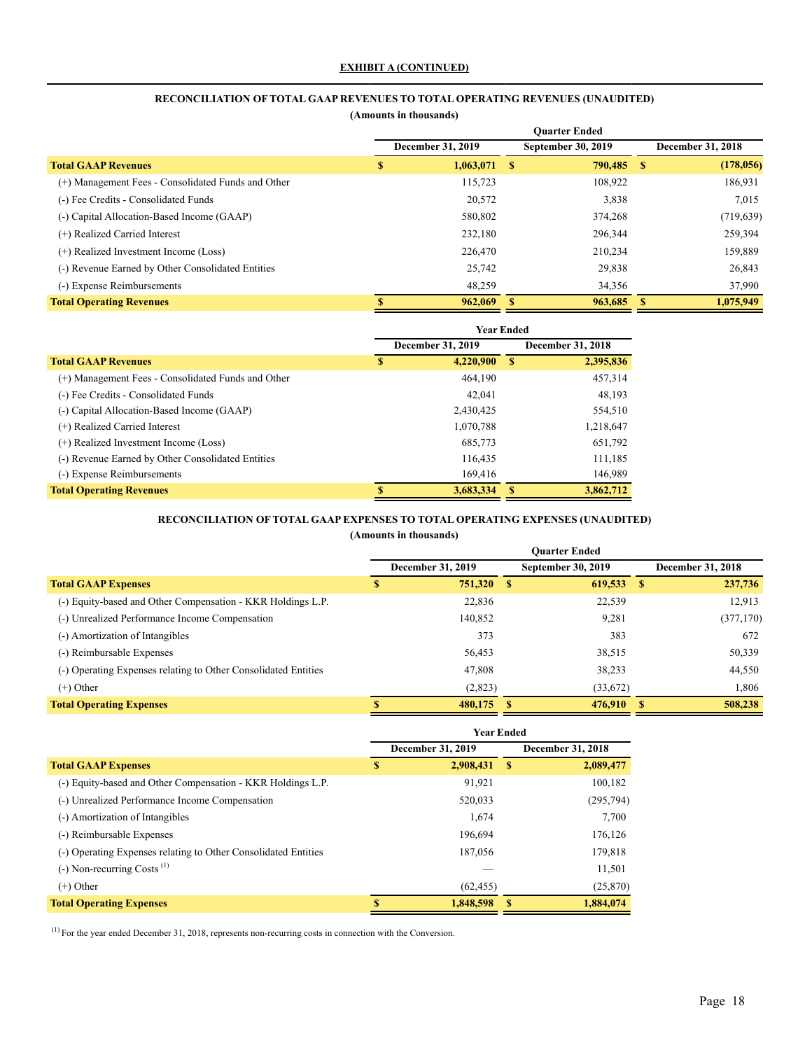# **RECONCILIATION OFTOTAL GAAP REVENUES TO TOTAL OPERATING REVENUES (UNAUDITED)**

**(Amounts in thousands)**

|                                                    | <b>Ouarter Ended</b> |                          |                    |                          |  |  |
|----------------------------------------------------|----------------------|--------------------------|--------------------|--------------------------|--|--|
|                                                    |                      | <b>December 31, 2019</b> | September 30, 2019 | <b>December 31, 2018</b> |  |  |
| <b>Total GAAP Revenues</b>                         | S                    | 1,063,071                | 790,485 \$<br>- \$ | (178, 056)               |  |  |
| (+) Management Fees - Consolidated Funds and Other |                      | 115,723                  | 108,922            | 186,931                  |  |  |
| (-) Fee Credits - Consolidated Funds               |                      | 20,572                   | 3,838              | 7,015                    |  |  |
| (-) Capital Allocation-Based Income (GAAP)         |                      | 580,802                  | 374,268            | (719, 639)               |  |  |
| (+) Realized Carried Interest                      |                      | 232.180                  | 296,344            | 259,394                  |  |  |
| (+) Realized Investment Income (Loss)              |                      | 226,470                  | 210,234            | 159,889                  |  |  |
| (-) Revenue Earned by Other Consolidated Entities  |                      | 25,742                   | 29,838             | 26,843                   |  |  |
| (-) Expense Reimbursements                         |                      | 48.259                   | 34,356             | 37,990                   |  |  |
| <b>Total Operating Revenues</b>                    | S                    | 962,069                  | 963,685            | 1,075,949                |  |  |

|                                                    | <b>Year Ended</b> |                   |   |                          |  |  |
|----------------------------------------------------|-------------------|-------------------|---|--------------------------|--|--|
|                                                    |                   | December 31, 2019 |   | <b>December 31, 2018</b> |  |  |
| <b>Total GAAP Revenues</b>                         | S                 | 4,220,900         | S | 2,395,836                |  |  |
| (+) Management Fees - Consolidated Funds and Other |                   | 464.190           |   | 457,314                  |  |  |
| (-) Fee Credits - Consolidated Funds               |                   | 42.041            |   | 48,193                   |  |  |
| (-) Capital Allocation-Based Income (GAAP)         |                   | 2,430,425         |   | 554,510                  |  |  |
| (+) Realized Carried Interest                      |                   | 1,070,788         |   | 1,218,647                |  |  |
| (+) Realized Investment Income (Loss)              |                   | 685,773           |   | 651,792                  |  |  |
| (-) Revenue Earned by Other Consolidated Entities  |                   | 116,435           |   | 111,185                  |  |  |
| (-) Expense Reimbursements                         |                   | 169.416           |   | 146.989                  |  |  |
| <b>Total Operating Revenues</b>                    | S                 | 3,683,334         |   | 3,862,712                |  |  |

### **RECONCILIATION OFTOTAL GAAP EXPENSES TO TOTAL OPERATING EXPENSES (UNAUDITED)**

**(Amounts in thousands)**

|                                                                | <b>Ouarter Ended</b> |    |                           |  |                          |  |  |  |
|----------------------------------------------------------------|----------------------|----|---------------------------|--|--------------------------|--|--|--|
|                                                                | December 31, 2019    |    | <b>September 30, 2019</b> |  | <b>December 31, 2018</b> |  |  |  |
| <b>Total GAAP Expenses</b>                                     | \$<br>751,320 \$     |    | $619,533$ \$              |  | 237,736                  |  |  |  |
| (-) Equity-based and Other Compensation - KKR Holdings L.P.    | 22,836               |    | 22,539                    |  | 12.913                   |  |  |  |
| (-) Unrealized Performance Income Compensation                 | 140,852              |    | 9,281                     |  | (377, 170)               |  |  |  |
| (-) Amortization of Intangibles                                | 373                  |    | 383                       |  | 672                      |  |  |  |
| (-) Reimbursable Expenses                                      | 56,453               |    | 38,515                    |  | 50,339                   |  |  |  |
| (-) Operating Expenses relating to Other Consolidated Entities | 47,808               |    | 38,233                    |  | 44,550                   |  |  |  |
| $(+)$ Other                                                    | (2,823)              |    | (33,672)                  |  | 1,806                    |  |  |  |
| <b>Total Operating Expenses</b>                                | 480,175              | -S | 476,910 \$                |  | 508,238                  |  |  |  |

|                                                                | <b>Year Ended</b> |                          |      |                   |
|----------------------------------------------------------------|-------------------|--------------------------|------|-------------------|
|                                                                |                   | <b>December 31, 2019</b> |      | December 31, 2018 |
| <b>Total GAAP Expenses</b>                                     | \$                | 2,908,431                | - \$ | 2,089,477         |
| (-) Equity-based and Other Compensation - KKR Holdings L.P.    |                   | 91.921                   |      | 100,182           |
| (-) Unrealized Performance Income Compensation                 |                   | 520,033                  |      | (295, 794)        |
| (-) Amortization of Intangibles                                |                   | 1,674                    |      | 7,700             |
| (-) Reimbursable Expenses                                      |                   | 196.694                  |      | 176,126           |
| (-) Operating Expenses relating to Other Consolidated Entities |                   | 187,056                  |      | 179,818           |
| $(-)$ Non-recurring Costs <sup><math>(1)</math></sup>          |                   |                          |      | 11,501            |
| $(+)$ Other                                                    |                   | (62, 455)                |      | (25, 870)         |
| <b>Total Operating Expenses</b>                                |                   | 1,848,598                | S    | 1.884.074         |

 $(1)$  For the year ended December 31, 2018, represents non-recurring costs in connection with the Conversion.